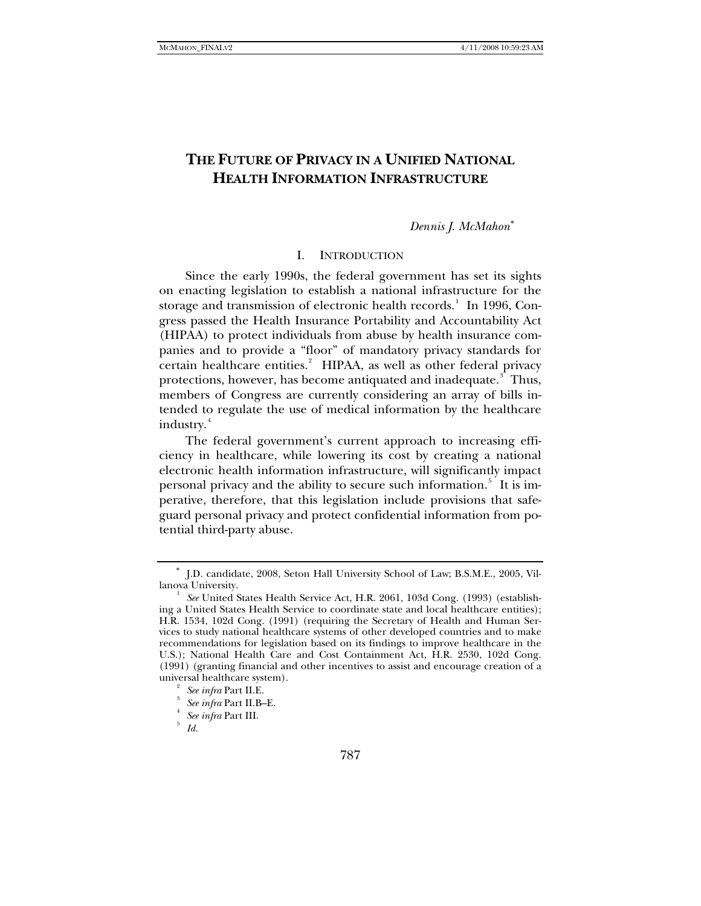# **THE FUTURE OF PRIVACY IN A UNIFIED NATIONAL HEALTH INFORMATION INFRASTRUCTURE**

*Dennis J. McMahon*[∗](#page-0-0)

### I. INTRODUCTION

Since the early 1990s, the federal government has set its sights on enacting legislation to establish a national infrastructure for the storage and transmission of electronic health records. In [1](#page-0-1)996, Congress passed the Health Insurance Portability and Accountability Act (HIPAA) to protect individuals from abuse by health insurance companies and to provide a "floor" of mandatory privacy standards for certain healthcare entities.<sup>[2](#page-0-2)</sup> HIPAA, as well as other federal privacy protections, however, has become antiquated and inadequate.<sup>[3](#page-0-3)</sup> Thus, members of Congress are currently considering an array of bills intended to regulate the use of medical information by the healthcare industry.<sup>[4](#page-0-4)</sup>

The federal government's current approach to increasing efficiency in healthcare, while lowering its cost by creating a national electronic health information infrastructure, will significantly impact personal privacy and the ability to secure such information.<sup>[5](#page-0-5)</sup> It is imperative, therefore, that this legislation include provisions that safeguard personal privacy and protect confidential information from potential third-party abuse.

<span id="page-0-0"></span><sup>∗</sup> J.D. candidate, 2008, Seton Hall University School of Law; B.S.M.E., 2005, Villanova University.

<span id="page-0-1"></span><sup>&</sup>lt;sup>1</sup> See United States Health Service Act, H.R. 2061, 103d Cong. (1993) (establishing a United States Health Service to coordinate state and local healthcare entities); H.R. 1534, 102d Cong. (1991) (requiring the Secretary of Health and Human Services to study national healthcare systems of other developed countries and to make recommendations for legislation based on its findings to improve healthcare in the U.S.); National Health Care and Cost Containment Act, H.R. 2530, 102d Cong. (1991) (granting financial and other incentives to assist and encourage creation of a universal healthcare system). 2

*See infra* Part II.E.

<span id="page-0-4"></span><span id="page-0-3"></span><span id="page-0-2"></span>*See infra* Part II.B–E. 4

<span id="page-0-5"></span>**See infra Part III.** 

*Id.*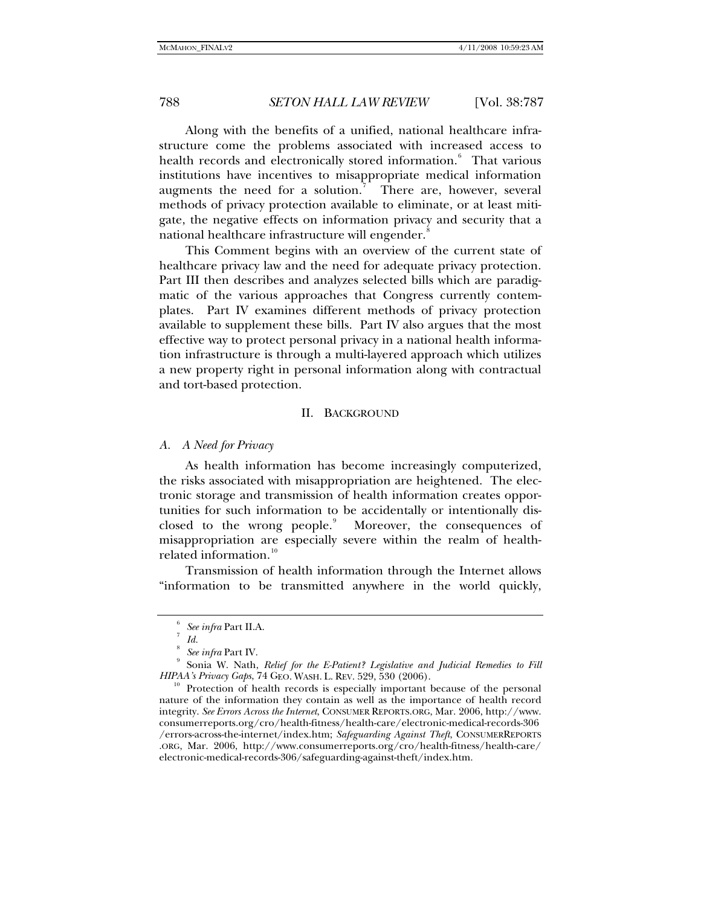Along with the benefits of a unified, national healthcare infrastructure come the problems associated with increased access to health records and electronically stored information.<sup>[6](#page-1-0)</sup> That various institutions have incentives to misappropriate medical information augments the need for a solution.<sup>[7](#page-1-1)</sup> There are, however, several methods of privacy protection available to eliminate, or at least mitigate, the negative effects on information privacy and security that a national healthcare infrastructure will engender.<sup>[8](#page-1-2)</sup>

This Comment begins with an overview of the current state of healthcare privacy law and the need for adequate privacy protection. Part III then describes and analyzes selected bills which are paradigmatic of the various approaches that Congress currently contemplates. Part IV examines different methods of privacy protection available to supplement these bills. Part IV also argues that the most effective way to protect personal privacy in a national health information infrastructure is through a multi-layered approach which utilizes a new property right in personal information along with contractual and tort-based protection.

### II. BACKGROUND

### *A. A Need for Privacy*

As health information has become increasingly computerized, the risks associated with misappropriation are heightened. The electronic storage and transmission of health information creates opportunities for such information to be accidentally or intentionally dis-closed to the wrong people.<sup>[9](#page-1-3)</sup> Moreover, the consequences of misappropriation are especially severe within the realm of health-related information.<sup>[10](#page-1-4)</sup>

Transmission of health information through the Internet allows "information to be transmitted anywhere in the world quickly,

<sup>6</sup>  *See infra* Part II.A. 7

*Id.*

<sup>8</sup> *See infra* Part IV.

<span id="page-1-3"></span><span id="page-1-2"></span><span id="page-1-1"></span><span id="page-1-0"></span>Sonia W. Nath, *Relief for the E-Patient? Legislative and Judicial Remedies to Fill* 

<span id="page-1-4"></span><sup>&</sup>lt;sup>10</sup> Protection of health records is especially important because of the personal nature of the information they contain as well as the importance of health record integrity. *See Errors Across the Internet*, CONSUMER REPORTS.ORG, Mar. 2006, http://www. consumerreports.org/cro/health-fitness/health-care/electronic-medical-records-306 /errors-across-the-internet/index.htm; *Safeguarding Against Theft*, CONSUMERREPORTS .ORG, Mar. 2006, http://www.consumerreports.org/cro/health-fitness/health-care/ electronic-medical-records-306/safeguarding-against-theft/index.htm.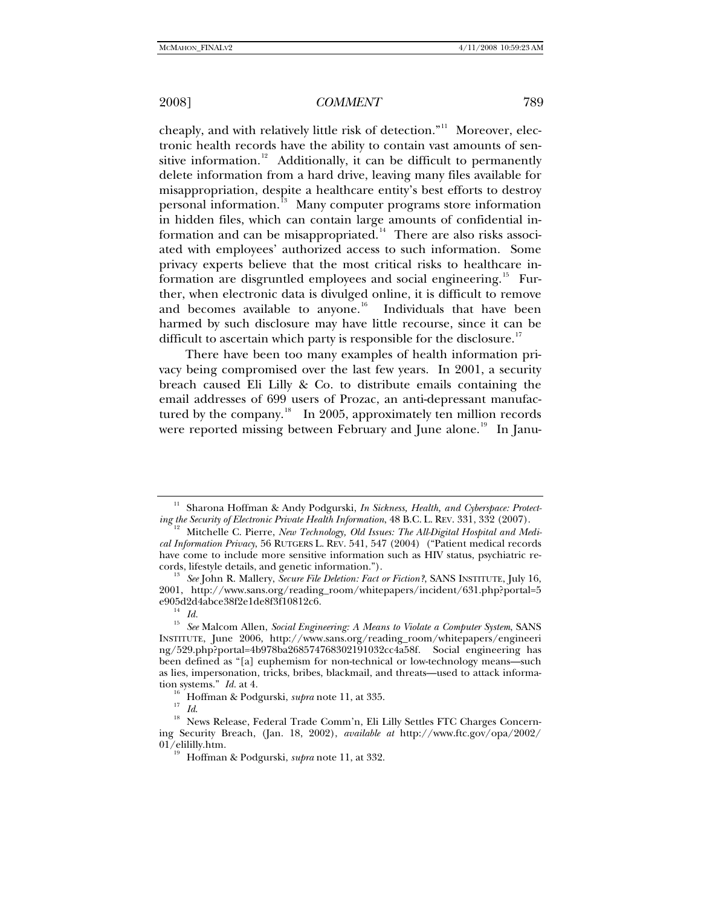cheaply, and with relatively little risk of detection."<sup>[11](#page-2-0)</sup> Moreover, electronic health records have the ability to contain vast amounts of sen-sitive information.<sup>[12](#page-2-1)</sup> Additionally, it can be difficult to permanently delete information from a hard drive, leaving many files available for misappropriation, despite a healthcare entity's best efforts to destroy personal information.<sup>[13](#page-2-2)</sup> Many computer programs store information in hidden files, which can contain large amounts of confidential in-formation and can be misappropriated.<sup>[14](#page-2-3)</sup> There are also risks associated with employees' authorized access to such information. Some privacy experts believe that the most critical risks to healthcare in-formation are disgruntled employees and social engineering.<sup>[15](#page-2-4)</sup> Further, when electronic data is divulged online, it is difficult to remove and becomes available to anyone. $16$  Individuals that have been harmed by such disclosure may have little recourse, since it can be difficult to ascertain which party is responsible for the disclosure.<sup>[17](#page-2-6)</sup>

There have been too many examples of health information privacy being compromised over the last few years. In 2001, a security breach caused Eli Lilly & Co. to distribute emails containing the email addresses of 699 users of Prozac, an anti-depressant manufactured by the company. $\frac{18}{10}$  $\frac{18}{10}$  $\frac{18}{10}$  In 2005, approximately ten million records were reported missing between February and June alone.<sup>[19](#page-2-8)</sup> In Janu-

<span id="page-2-0"></span><sup>&</sup>lt;sup>11</sup> Sharona Hoffman & Andy Podgurski, *In Sickness, Health, and Cyberspace: Protect-*<br> *ing the Security of Electronic Private Health Information*, 48 B.C. L. REV. 331, 332 (2007).

<span id="page-2-1"></span>*Mitchelle C. Pierre, New Technology, Old Issues: The All-Digital Hospital and Medical Information Privacy*, 56 RUTGERS L. REV. 541, 547 (2004) ("Patient medical records have come to include more sensitive information such as HIV status, psychiatric re-

<span id="page-2-2"></span>cords, lifestyle details, and genetic information."). 13 *See* John R. Mallery, *Secure File Deletion: Fact or Fiction?*, SANS INSTITUTE, July 16, 2001, http://www.sans.org/reading\_room/whitepapers/incident/631.php?portal=5 e905d2d4abce38f2e1de8f3f10812c6.<br><sup>14</sup> *Id.*<br><sup>15</sup> SeeMalaam Allan Secial Eurin

<span id="page-2-4"></span><span id="page-2-3"></span><sup>15</sup> *See* Malcom Allen, *Social Engineering: A Means to Violate a Computer System*, SANS INSTITUTE, June 2006, http://www.sans.org/reading\_room/whitepapers/engineeri ng/529.php?portal=4b978ba268574768302191032cc4a58f. Social engineering has been defined as "[a] euphemism for non-technical or low-technology means—such as lies, impersonation, tricks, bribes, blackmail, and threats—used to attack informa-

<span id="page-2-8"></span><span id="page-2-7"></span><span id="page-2-6"></span><span id="page-2-5"></span>tion systems." *Id.* at 4.<br><sup>16</sup> Hoffman & Podgurski, *supra* note 11, at 335.<br><sup>17</sup> *Id.* News Release, Federal Trade Comm'n, Eli Lilly Settles FTC Charges Concerning Security Breach, (Jan. 18, 2002), *available at* http://www.ftc.gov/opa/2002/ 01/elililly.htm. 19 Hoffman & Podgurski, *supra* note 11, at 332.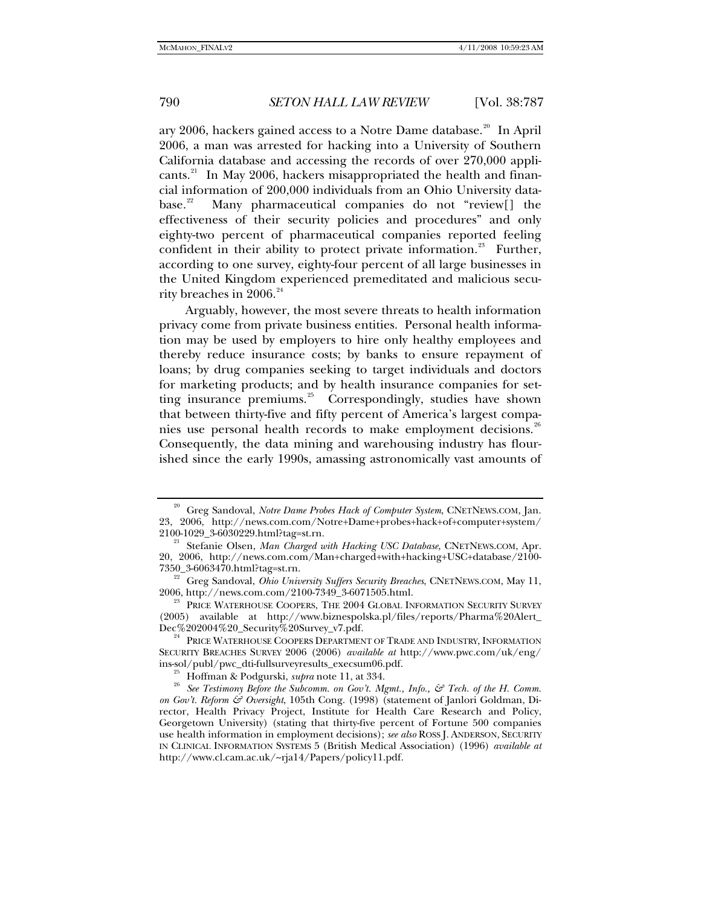ary [20](#page-3-0)06, hackers gained access to a Notre Dame database.<sup>20</sup> In April 2006, a man was arrested for hacking into a University of Southern California database and accessing the records of over 270,000 applicants. $^{21}$  $^{21}$  $^{21}$  In May 2006, hackers misappropriated the health and financial information of 200,000 individuals from an Ohio University data-base.<sup>[22](#page-3-2)</sup> Many pharmaceutical companies do not "review[] the effectiveness of their security policies and procedures" and only eighty-two percent of pharmaceutical companies reported feeling confident in their ability to protect private information.<sup>[23](#page-3-3)</sup> Further, according to one survey, eighty-four percent of all large businesses in the United Kingdom experienced premeditated and malicious security breaches in  $2006.^{^{24}}$  $2006.^{^{24}}$  $2006.^{^{24}}$ 

Arguably, however, the most severe threats to health information privacy come from private business entities. Personal health information may be used by employers to hire only healthy employees and thereby reduce insurance costs; by banks to ensure repayment of loans; by drug companies seeking to target individuals and doctors for marketing products; and by health insurance companies for set-ting insurance premiums.<sup>[25](#page-3-5)</sup> Correspondingly, studies have shown that between thirty-five and fifty percent of America's largest compa-nies use personal health records to make employment decisions.<sup>[26](#page-3-6)</sup> Consequently, the data mining and warehousing industry has flourished since the early 1990s, amassing astronomically vast amounts of

<span id="page-3-0"></span><sup>&</sup>lt;sup>20</sup> Greg Sandoval, *Notre Dame Probes Hack of Computer System*, CNETNEWS.COM, Jan. 23, 2006, http://news.com.com/Notre+Dame+probes+hack+of+computer+system/

<span id="page-3-1"></span><sup>2100-1029</sup>\_3-6030229.html?tag=st.rn. 21 Stefanie Olsen, *Man Charged with Hacking USC Database*, CNETNEWS.COM, Apr. 20, 2006, [http://news.com.com/Man+charged+with+hacking+USC+database/2100-](http://news.com.com/Man+charged+with+hacking+USC+database/2100-7350_3-6063470.html?tag=st.rn)

<span id="page-3-2"></span>[<sup>7350</sup>\\_3-6063470.html?tag=st.rn](http://news.com.com/Man+charged+with+hacking+USC+database/2100-7350_3-6063470.html?tag=st.rn).<br><sup>22</sup> Greg Sandoval, *Ohio University Suffers Security Breaches*, CNETNEWS.COM, May 11,<br>2006, http://news.com.com/2100-7349\_3-6071505.html.

<span id="page-3-3"></span>PRICE WATERHOUSE COOPERS, THE 2004 GLOBAL INFORMATION SECURITY SURVEY (2005) available at http://www.biznespolska.pl/files/reports/Pharma%20Alert\_Dec%202004%20\_Security%20Survey\_v7.pdf.

<span id="page-3-4"></span> $^{24}$  PRICE WATERHOUSE COOPERS DEPARTMENT OF TRADE AND INDUSTRY, INFORMATION SECURITY BREACHES SURVEY 2006 (2006) *available at* http://www.pwc.com/uk/eng/

<span id="page-3-6"></span><span id="page-3-5"></span>ins-sol/publ/pwc\_dti-fullsurveyresults\_execsum06.pdf.<br><sup>25</sup> Hoffman & Podgurski, *supra* note 11, at 334.<br><sup>26</sup> See Testimony Before the Subcomm. on Gov't. Mgmt., Info., & Tech. of the H. Comm. *on Gov't. Reform & Oversight*, 105th Cong. (1998) (statement of Janlori Goldman, Director, Health Privacy Project, Institute for Health Care Research and Policy, Georgetown University) (stating that thirty-five percent of Fortune 500 companies use health information in employment decisions); *see also* ROSS J. ANDERSON, SECURITY IN CLINICAL INFORMATION SYSTEMS 5 (British Medical Association) (1996) *available at* http://www.cl.cam.ac.uk/~rja14/Papers/policy11.pdf.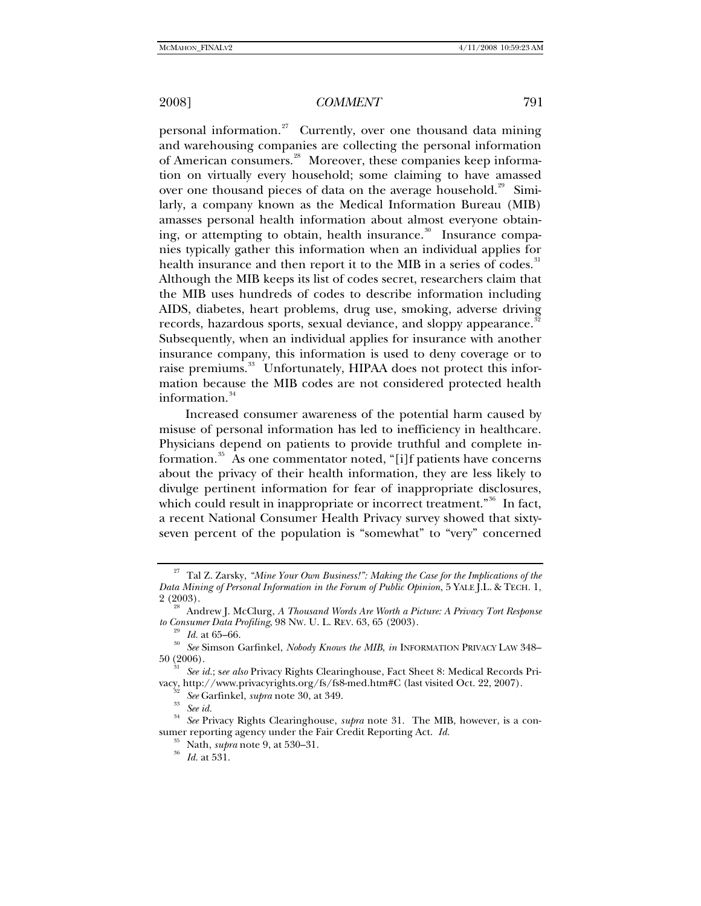personal information.<sup>[27](#page-4-0)</sup> Currently, over one thousand data mining and warehousing companies are collecting the personal information of American consumers.<sup>[28](#page-4-1)</sup> Moreover, these companies keep information on virtually every household; some claiming to have amassed over one thousand pieces of data on the average household.<sup>[29](#page-4-2)</sup> Similarly, a company known as the Medical Information Bureau (MIB) amasses personal health information about almost everyone obtain-ing, or attempting to obtain, health insurance.<sup>[30](#page-4-3)</sup> Insurance companies typically gather this information when an individual applies for health insurance and then report it to the MIB in a series of codes.<sup>[31](#page-4-4)</sup> Although the MIB keeps its list of codes secret, researchers claim that the MIB uses hundreds of codes to describe information including AIDS, diabetes, heart problems, drug use, smoking, adverse driving records, hazardous sports, sexual deviance, and sloppy appearance.<sup>[32](#page-4-5)</sup> Subsequently, when an individual applies for insurance with another insurance company, this information is used to deny coverage or to raise premiums.<sup>[33](#page-4-6)</sup> Unfortunately, HIPAA does not protect this information because the MIB codes are not considered protected health information. $34$ 

Increased consumer awareness of the potential harm caused by misuse of personal information has led to inefficiency in healthcare. Physicians depend on patients to provide truthful and complete in-formation.<sup>[35](#page-4-8)</sup> As one commentator noted, "[i]f patients have concerns about the privacy of their health information, they are less likely to divulge pertinent information for fear of inappropriate disclosures, which could result in inappropriate or incorrect treatment."<sup>[36](#page-4-9)</sup> In fact, a recent National Consumer Health Privacy survey showed that sixtyseven percent of the population is "somewhat" to "very" concerned

<span id="page-4-0"></span><sup>&</sup>lt;sup>27</sup> Tal Z. Zarsky, *"Mine Your Own Business!": Making the Case for the Implications of the Data Mining of Personal Information in the Forum of Public Opinion*, 5 YALE J.L. & TECH. 1,

<span id="page-4-1"></span><sup>&</sup>lt;sup>28</sup> Andrew J. McClurg, *A Thousand Words Are Worth a Picture: A Privacy Tort Response* to Consumer Data Profiling, 98 Nw. U. L. REV. 63, 65 (2003).

<span id="page-4-3"></span><span id="page-4-2"></span><sup>&</sup>lt;sup>29</sup> Id. at 65–66.<br><sup>30</sup> See Simson Garfinkel, *Nobody Knows the MIB*, *in* INFORMATION PRIVACY LAW 348– 50 (2006).

<span id="page-4-5"></span><span id="page-4-4"></span><sup>31</sup> *See id.*; s*ee also* Privacy Rights Clearinghouse, Fact Sheet 8: Medical Records Privacy, <http://www.privacyrights.org/fs/fs8-med.htm#C>(last visited Oct. 22, 2007).<br><sup>32</sup> *See* Garfinkel, *supra* note 30, at 349.<br><sup>33</sup> *See id.* 

<span id="page-4-9"></span><span id="page-4-8"></span><span id="page-4-7"></span><span id="page-4-6"></span><sup>34</sup> *See* Privacy Rights Clearinghouse, *supra* note 31. The MIB, however, is a consumer reporting agency under the Fair Credit Reporting Act. *Id.* 35 Nath, *supra* note 9, at 530–31. 36 *Id.* at 531.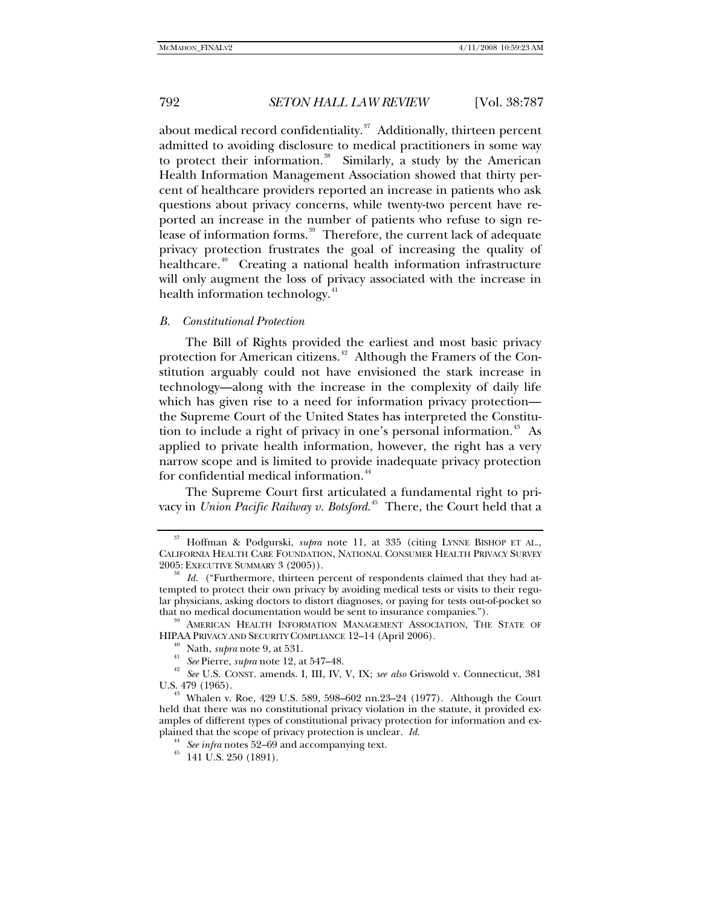about medical record confidentiality. $37$  Additionally, thirteen percent admitted to avoiding disclosure to medical practitioners in some way to protect their information.<sup>[38](#page-5-1)</sup> Similarly, a study by the American Health Information Management Association showed that thirty percent of healthcare providers reported an increase in patients who ask questions about privacy concerns, while twenty-two percent have reported an increase in the number of patients who refuse to sign re-lease of information forms.<sup>[39](#page-5-2)</sup> Therefore, the current lack of adequate privacy protection frustrates the goal of increasing the quality of healthcare.<sup>[40](#page-5-3)</sup> Creating a national health information infrastructure will only augment the loss of privacy associated with the increase in health information technology.<sup>[41](#page-5-4)</sup>

## *B. Constitutional Protection*

The Bill of Rights provided the earliest and most basic privacy protection for American citizens.<sup> $42$ </sup> Although the Framers of the Constitution arguably could not have envisioned the stark increase in technology—along with the increase in the complexity of daily life which has given rise to a need for information privacy protection the Supreme Court of the United States has interpreted the Constitu-tion to include a right of privacy in one's personal information.<sup>[43](#page-5-6)</sup> As applied to private health information, however, the right has a very narrow scope and is limited to provide inadequate privacy protection for confidential medical information.<sup>[44](#page-5-7)</sup>

The Supreme Court first articulated a fundamental right to privacy in *Union Pacific Railway v. Botsford*. [45](#page-5-8) There, the Court held that a

<span id="page-5-2"></span>that no medical documentation would be sent to insurance companies.").<br><sup>39</sup> AMERICAN HEALTH INFORMATION MANAGEMENT ASSOCIATION, THE STATE OF HIPAA PRIVACY AND SECURITY COMPLIANCE 12–14 (April 2006).

<span id="page-5-0"></span><sup>37</sup> Hoffman & Podgurski, *supra* note 11, at 335 (citing LYNNE BISHOP ET AL., CALIFORNIA HEALTH CARE FOUNDATION, NATIONAL CONSUMER HEALTH PRIVACY SURVEY 2005: EXECUTIVE SUMMARY 3 (2005)).

<span id="page-5-1"></span>Id. ("Furthermore, thirteen percent of respondents claimed that they had attempted to protect their own privacy by avoiding medical tests or visits to their regular physicians, asking doctors to distort diagnoses, or paying for tests out-of-pocket so

<span id="page-5-4"></span><span id="page-5-3"></span><sup>&</sup>lt;sup>40</sup> Nath, *supra* note 9, at 531.<br><sup>41</sup> *See* Pierre, *supra* note 12, at 547–48.<br><sup>42</sup> *See* U.S. CONST. amends. I, III, IV, V, IX; *see also* Griswold v. Connecticut, 381<br>U.S. 479 (1965).

<span id="page-5-8"></span><span id="page-5-7"></span><span id="page-5-6"></span><span id="page-5-5"></span><sup>&</sup>lt;sup>43</sup> Whalen v. Roe, 429 U.S. 589, 598-602 nn.23-24 (1977). Although the Court held that there was no constitutional privacy violation in the statute, it provided examples of different types of constitutional privacy protection for information and explained that the scope of privacy protection is unclear. *Id.* <sup>44</sup> See infra notes 52–69 and accompanying text. <sup>45</sup> 141 U.S. 250 (1891).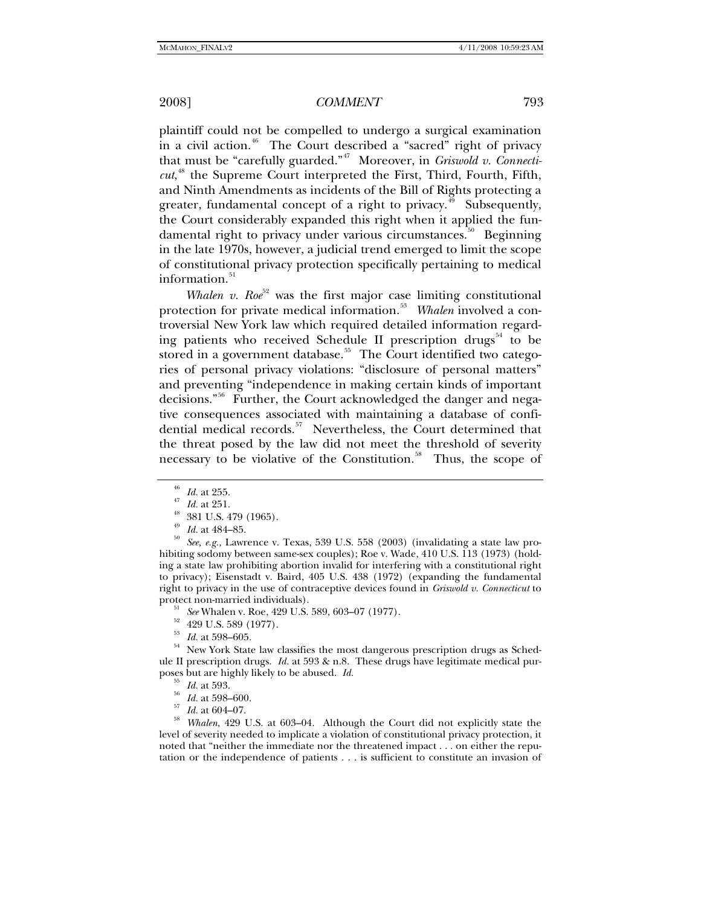plaintiff could not be compelled to undergo a surgical examination in a civil action.<sup>[46](#page-6-0)</sup> The Court described a "sacred" right of privacy that must be "carefully guarded."[47](#page-6-1) Moreover, in *Griswold v. Connecticut*, [48](#page-6-2) the Supreme Court interpreted the First, Third, Fourth, Fifth, and Ninth Amendments as incidents of the Bill of Rights protecting a greater, fundamental concept of a right to privacy.<sup>[49](#page-6-3)</sup> Subsequently, the Court considerably expanded this right when it applied the fun-damental right to privacy under various circumstances.<sup>[50](#page-6-4)</sup> Beginning in the late 1970s, however, a judicial trend emerged to limit the scope of constitutional privacy protection specifically pertaining to medical information.<sup>[51](#page-6-5)</sup>

*Whalen v. Roe*<sup>[52](#page-6-6)</sup> was the first major case limiting constitutional protection for private medical information.<sup>[53](#page-6-7)</sup> Whalen involved a controversial New York law which required detailed information regarding patients who received Schedule II prescription drugs $54$  to be stored in a government database.<sup>[55](#page-6-9)</sup> The Court identified two categories of personal privacy violations: "disclosure of personal matters" and preventing "independence in making certain kinds of important decisions."[56](#page-6-10) Further, the Court acknowledged the danger and negative consequences associated with maintaining a database of confi-dential medical records.<sup>[57](#page-6-11)</sup> Nevertheless, the Court determined that the threat posed by the law did not meet the threshold of severity necessary to be violative of the Constitution.<sup>[58](#page-6-12)</sup> Thus, the scope of

- 
- 

<span id="page-6-8"></span><span id="page-6-7"></span><span id="page-6-6"></span><sup>53</sup> Id. at 598–605.<br><sup>54</sup> New York State law classifies the most dangerous prescription drugs as Schedule II prescription drugs. *Id.* at 593 & n.8. These drugs have legitimate medical pur-<br>poses but are highly likely to be abused. *Id.* 

- 
- 

<span id="page-6-12"></span><span id="page-6-11"></span><span id="page-6-10"></span><span id="page-6-9"></span>poses but are highly likely to be abused. *Id.* <sup>55</sup> *Id.* at 593. 56 *Id.* at 598–600. 57 *Id.* at 604–07. 58 *Whalen*, 429 U.S. at 603–04. Although the Court did not explicitly state the level of severity needed to implicate a violation of constitutional privacy protection, it noted that "neither the immediate nor the threatened impact . . . on either the reputation or the independence of patients . . . is sufficient to constitute an invasion of

<sup>&</sup>lt;sup>46</sup> *Id.* at 255.<br><sup>47</sup> *Id.* at 251.<br><sup>48</sup> 381 U.S. 479 (1965).

<span id="page-6-4"></span><span id="page-6-3"></span><span id="page-6-2"></span><span id="page-6-1"></span><span id="page-6-0"></span><sup>&</sup>lt;sup>49</sup> *Id.* at 484–85.<br><sup>50</sup> *See, e.g.*, Lawrence v. Texas, 539 U.S. 558 (2003) (invalidating a state law prohibiting sodomy between same-sex couples); Roe v. Wade, 410 U.S. 113 (1973) (holding a state law prohibiting abortion invalid for interfering with a constitutional right to privacy); Eisenstadt v. Baird, 405 U.S. 438 (1972) (expanding the fundamental right to privacy in the use of contraceptive devices found in *Griswold v. Connecticut* to

<span id="page-6-5"></span>protect non-married individuals).<br><sup>51</sup> *See* Whalen v. Roe, 429 U.S. 589, 603–07 (1977).<br><sup>52</sup> 429 U.S. 589 (1977).<br><sup>53</sup> *H*<sub>01</sub> 598 605</sub>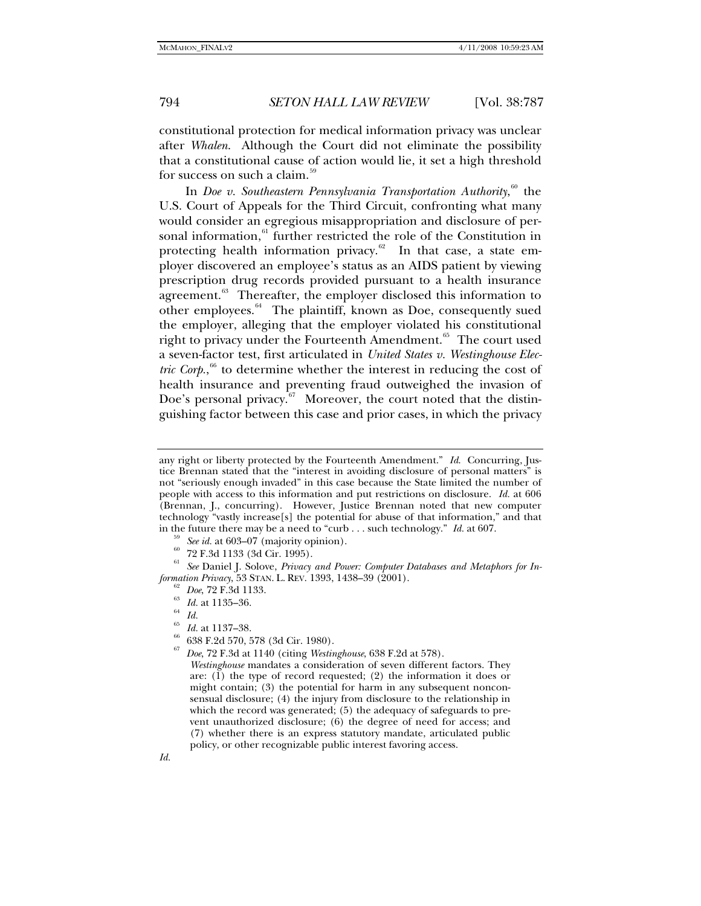constitutional protection for medical information privacy was unclear after *Whalen*. Although the Court did not eliminate the possibility that a constitutional cause of action would lie, it set a high threshold for success on such a claim.<sup>5</sup>

In *Doe v. Southeastern Pennsylvania Transportation Authority*, [60](#page-7-1) the U.S. Court of Appeals for the Third Circuit, confronting what many would consider an egregious misappropriation and disclosure of per-sonal information,<sup>[61](#page-7-2)</sup> further restricted the role of the Constitution in protecting health information privacy.<sup>[62](#page-7-3)</sup> In that case, a state employer discovered an employee's status as an AIDS patient by viewing prescription drug records provided pursuant to a health insurance agreement.<sup>[63](#page-7-4)</sup> Thereafter, the employer disclosed this information to other employees. $64$  The plaintiff, known as Doe, consequently sued the employer, alleging that the employer violated his constitutional right to privacy under the Fourteenth Amendment.<sup>[65](#page-7-6)</sup> The court used a seven-factor test, first articulated in *United States v. Westinghouse Elec-*tric Corp.,<sup>[66](#page-7-7)</sup> to determine whether the interest in reducing the cost of health insurance and preventing fraud outweighed the invasion of Doe's personal privacy. $67$  Moreover, the court noted that the distinguishing factor between this case and prior cases, in which the privacy

<span id="page-7-7"></span><span id="page-7-6"></span><span id="page-7-5"></span><span id="page-7-4"></span><span id="page-7-3"></span><span id="page-7-2"></span><span id="page-7-1"></span><span id="page-7-0"></span>See Daniel J. Solove, Privacy and Power: Computer Databases and Metaphors for In*formation Privacy*, 53 STAN. L. REV. 1393, 1438–39 (2001).<br><sup>62</sup> *Doe*, 72 F.3d 1133.<br><sup>63</sup> *Id.* at 1135–36.<br><sup>64</sup> *Id.* 

- 
- 

- 
- <sup>65</sup> *Id.* at 1137–38. 66 638 F.2d 570, 578 (3d Cir. 1980).
- <span id="page-7-8"></span><sup>67</sup> *Doe*, 72 F.3d at 1140 (citing *Westinghouse*, 638 F.2d at 578).

any right or liberty protected by the Fourteenth Amendment." *Id*. Concurring, Justice Brennan stated that the "interest in avoiding disclosure of personal matters" is not "seriously enough invaded" in this case because the State limited the number of people with access to this information and put restrictions on disclosure. *Id.* at 606 (Brennan, J., concurring). However, Justice Brennan noted that new computer technology "vastly increase[s] the potential for abuse of that information," and that in the future there may be a need to "curb . . . such technology." *Id.* at 607.<br><sup>59</sup> See id. at 603–07 (majority opinion).<br><sup>60</sup> 72 F.3d 1133 (3d Cir. 1995).

*Westinghouse* mandates a consideration of seven different factors. They are: (1) the type of record requested; (2) the information it does or might contain; (3) the potential for harm in any subsequent nonconsensual disclosure; (4) the injury from disclosure to the relationship in which the record was generated; (5) the adequacy of safeguards to prevent unauthorized disclosure; (6) the degree of need for access; and (7) whether there is an express statutory mandate, articulated public policy, or other recognizable public interest favoring access.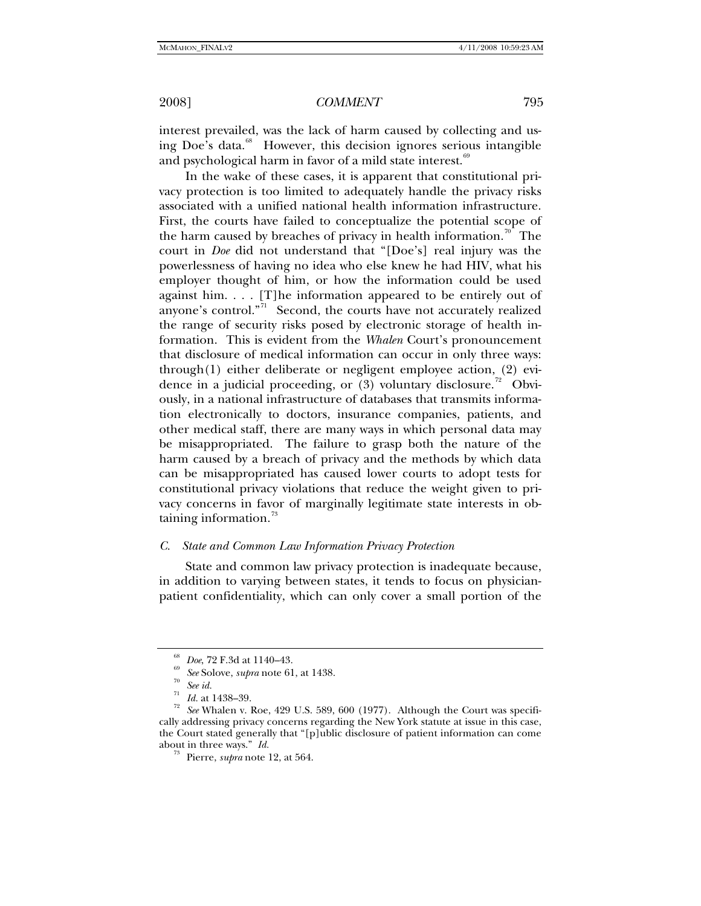interest prevailed, was the lack of harm caused by collecting and us-ing Doe's data.<sup>[68](#page-8-0)</sup> However, this decision ignores serious intangible and psychological harm in favor of a mild state interest.<sup>[69](#page-8-1)</sup>

In the wake of these cases, it is apparent that constitutional privacy protection is too limited to adequately handle the privacy risks associated with a unified national health information infrastructure. First, the courts have failed to conceptualize the potential scope of the harm caused by breaches of privacy in health information.<sup>[70](#page-8-2)</sup> The court in *Doe* did not understand that "[Doe's] real injury was the powerlessness of having no idea who else knew he had HIV, what his employer thought of him, or how the information could be used against him. . . . [T]he information appeared to be entirely out of anyone's control."<sup>[71](#page-8-3)</sup> Second, the courts have not accurately realized the range of security risks posed by electronic storage of health information. This is evident from the *Whalen* Court's pronouncement that disclosure of medical information can occur in only three ways: through(1) either deliberate or negligent employee action, (2) evidence in a judicial proceeding, or  $(3)$  voluntary disclosure.<sup>[72](#page-8-4)</sup> Obviously, in a national infrastructure of databases that transmits information electronically to doctors, insurance companies, patients, and other medical staff, there are many ways in which personal data may be misappropriated. The failure to grasp both the nature of the harm caused by a breach of privacy and the methods by which data can be misappropriated has caused lower courts to adopt tests for constitutional privacy violations that reduce the weight given to privacy concerns in favor of marginally legitimate state interests in obtaining information. $73$ 

### *C. State and Common Law Information Privacy Protection*

State and common law privacy protection is inadequate because, in addition to varying between states, it tends to focus on physicianpatient confidentiality, which can only cover a small portion of the

<sup>68</sup> *Doe*, 72 F.3d at 1140–43. 69 *See* Solove, *supra* note 61, at 1438. 70 *See id.*

<span id="page-8-5"></span><span id="page-8-4"></span><span id="page-8-3"></span><span id="page-8-2"></span><span id="page-8-1"></span><span id="page-8-0"></span> $\frac{71}{72}$  *Id.* at 1438–39.<br><sup>72</sup> *See* Whalen v. Roe, 429 U.S. 589, 600 (1977). Although the Court was specifically addressing privacy concerns regarding the New York statute at issue in this case, the Court stated generally that "[p]ublic disclosure of patient information can come about in three ways." *Id.* 73 Pierre, *supra* note 12, at 564.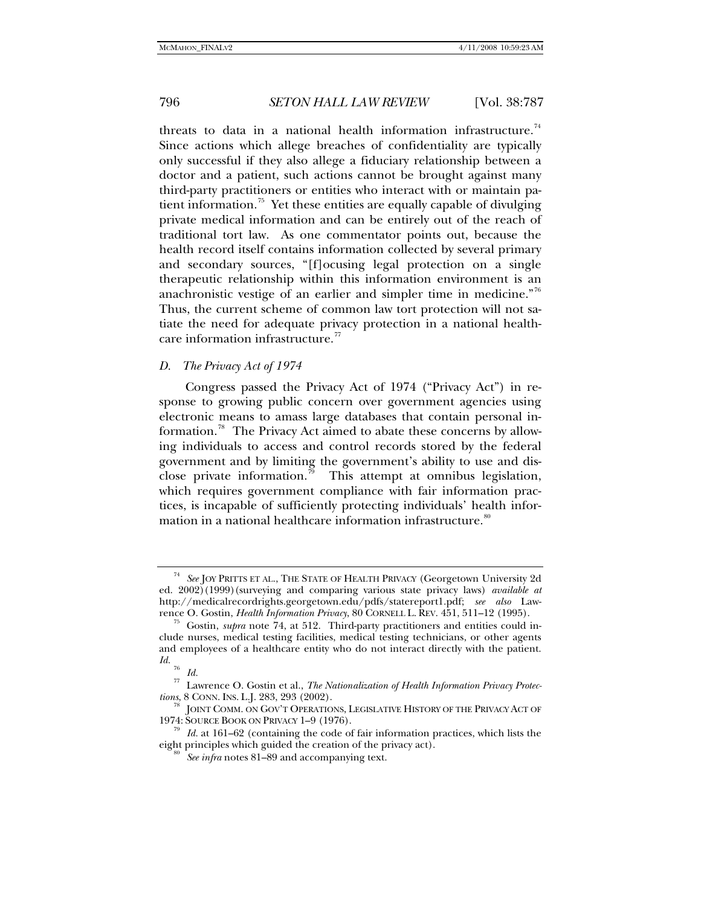threats to data in a national health information infrastructure.<sup>[74](#page-9-0)</sup> Since actions which allege breaches of confidentiality are typically only successful if they also allege a fiduciary relationship between a doctor and a patient, such actions cannot be brought against many third-party practitioners or entities who interact with or maintain pa-tient information.<sup>[75](#page-9-1)</sup> Yet these entities are equally capable of divulging private medical information and can be entirely out of the reach of traditional tort law. As one commentator points out, because the health record itself contains information collected by several primary and secondary sources, "[f]ocusing legal protection on a single therapeutic relationship within this information environment is an anachronistic vestige of an earlier and simpler time in medicine."<sup>[76](#page-9-2)</sup> Thus, the current scheme of common law tort protection will not satiate the need for adequate privacy protection in a national health-care information infrastructure.<sup>[77](#page-9-3)</sup>

## *D. The Privacy Act of 1974*

Congress passed the Privacy Act of 1974 ("Privacy Act") in response to growing public concern over government agencies using electronic means to amass large databases that contain personal in-formation.<sup>[78](#page-9-4)</sup> The Privacy Act aimed to abate these concerns by allowing individuals to access and control records stored by the federal government and by limiting the government's ability to use and dis-close private information.<sup>[79](#page-9-5)</sup> This attempt at omnibus legislation, which requires government compliance with fair information practices, is incapable of sufficiently protecting individuals' health infor-mation in a national healthcare information infrastructure.<sup>[80](#page-9-6)</sup>

<span id="page-9-0"></span>See JOY PRITTS ET AL., THE STATE OF HEALTH PRIVACY (Georgetown University 2d ed. 2002)(1999)(surveying and comparing various state privacy laws) *available at* http://medicalrecordrights.georgetown.edu/pdfs/statereport1.pdf; *see also* Lawrence O. Gostin, *Health Information Privacy*, 80 CORNELL L. REV. 451, 511–12 (1995).<br><sup>75</sup> Gostin, *supra* note 74, at 512. Third-party practitioners and entities could in-

<span id="page-9-1"></span>clude nurses, medical testing facilities, medical testing technicians, or other agents and employees of a healthcare entity who do not interact directly with the patient. *Id.*  $rac{76}{77}$  *Id.* 

<span id="page-9-3"></span><span id="page-9-2"></span><sup>77</sup> Lawrence O. Gostin et al., *The Nationalization of Health Information Privacy Protec-*

<span id="page-9-4"></span><sup>&</sup>lt;sup>78</sup> JOINT COMM. ON GOV'T OPERATIONS, LEGISLATIVE HISTORY OF THE PRIVACY ACT OF 1974: SOURCE BOOK ON PRIVACY 1–9 (1976).

<span id="page-9-6"></span><span id="page-9-5"></span>Id. at 161-62 (containing the code of fair information practices, which lists the eight principles which guided the creation of the privacy act). 80 *See infra* notes 81–89 and accompanying text.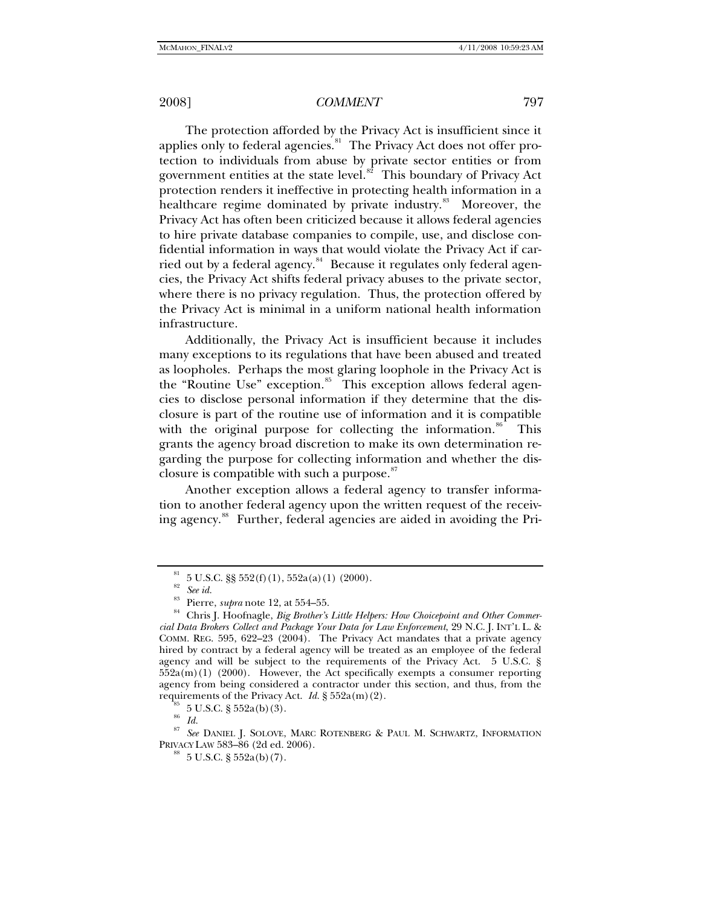The protection afforded by the Privacy Act is insufficient since it applies only to federal agencies. $81$  The Privacy Act does not offer protection to individuals from abuse by private sector entities or from government entities at the state level. $s^2$  This boundary of Privacy Act protection renders it ineffective in protecting health information in a healthcare regime dominated by private industry.<sup>[83](#page-10-2)</sup> Moreover, the Privacy Act has often been criticized because it allows federal agencies to hire private database companies to compile, use, and disclose confidential information in ways that would violate the Privacy Act if car-ried out by a federal agency.<sup>[84](#page-10-3)</sup> Because it regulates only federal agencies, the Privacy Act shifts federal privacy abuses to the private sector, where there is no privacy regulation. Thus, the protection offered by the Privacy Act is minimal in a uniform national health information infrastructure.

Additionally, the Privacy Act is insufficient because it includes many exceptions to its regulations that have been abused and treated as loopholes. Perhaps the most glaring loophole in the Privacy Act is the "Routine Use" exception.<sup>[85](#page-10-4)</sup> This exception allows federal agencies to disclose personal information if they determine that the disclosure is part of the routine use of information and it is compatible with the original purpose for collecting the information.<sup>[86](#page-10-5)</sup> This grants the agency broad discretion to make its own determination regarding the purpose for collecting information and whether the dis-closure is compatible with such a purpose.<sup>[87](#page-10-6)</sup>

Another exception allows a federal agency to transfer information to another federal agency upon the written request of the receiv-ing agency.<sup>[88](#page-10-7)</sup> Further, federal agencies are aided in avoiding the Pri-

 $81 \quad 5 \text{ U.S.C. }$  \$\$ 552(f)(1), 552a(a)(1)(2000).

<sup>82</sup> *See id.*

<span id="page-10-3"></span><span id="page-10-2"></span><span id="page-10-1"></span><span id="page-10-0"></span><sup>&</sup>lt;sup>83</sup> Pierre, *supra* note 12, at 554–55.<br><sup>84</sup> Chris J. Hoofnagle, *Big Brother's Little Helpers: How Choicepoint and Other Commercial Data Brokers Collect and Package Your Data for Law Enforcement*, 29 N.C. J. INT'L L. & COMM. REG. 595, 622–23 (2004). The Privacy Act mandates that a private agency hired by contract by a federal agency will be treated as an employee of the federal agency and will be subject to the requirements of the Privacy Act. 5 U.S.C. §  $552a(m)(1)$  (2000). However, the Act specifically exempts a consumer reporting agency from being considered a contractor under this section, and thus, from the requirements of the Privacy Act. *Id.* § 552a(m)(2). <sup>85</sup> 5 U.S.C. § 552a(b)(3).

 $rac{86}{87}$  *Id.* 

<span id="page-10-7"></span><span id="page-10-6"></span><span id="page-10-5"></span><span id="page-10-4"></span><sup>&</sup>lt;sup>87</sup> See DANIEL J. SOLOVE, MARC ROTENBERG & PAUL M. SCHWARTZ, INFORMATION PRIVACY LAW 583-86 (2d ed. 2006).

 $^{88}$  5 U.S.C. § 552a(b)(7).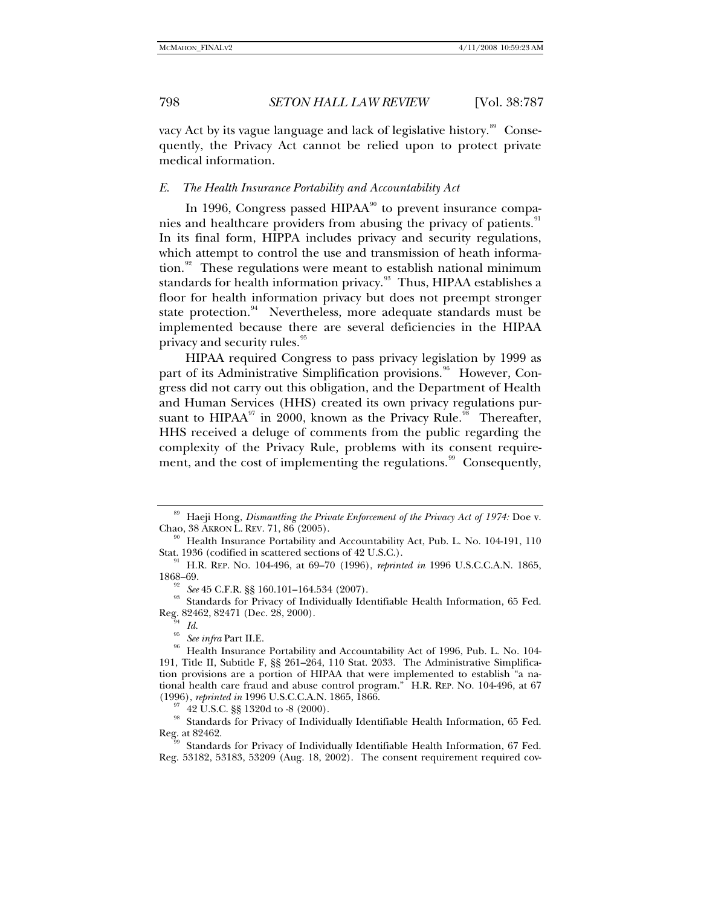vacy Act by its vague language and lack of legislative history.<sup>[89](#page-11-0)</sup> Consequently, the Privacy Act cannot be relied upon to protect private medical information.

## *E. The Health Insurance Portability and Accountability Act*

In 1996, Congress passed  $HIPAA<sup>90</sup>$  $HIPAA<sup>90</sup>$  $HIPAA<sup>90</sup>$  to prevent insurance compa-nies and healthcare providers from abusing the privacy of patients.<sup>[91](#page-11-2)</sup> In its final form, HIPPA includes privacy and security regulations, which attempt to control the use and transmission of heath informa-tion.<sup>[92](#page-11-3)</sup> These regulations were meant to establish national minimum standards for health information privacy.<sup>[93](#page-11-4)</sup> Thus, HIPAA establishes a floor for health information privacy but does not preempt stronger state protection.<sup>[94](#page-11-5)</sup> Nevertheless, more adequate standards must be implemented because there are several deficiencies in the HIPAA privacy and security rules.<sup>[95](#page-11-6)</sup>

HIPAA required Congress to pass privacy legislation by 1999 as part of its Administrative Simplification provisions.<sup>[96](#page-11-7)</sup> However, Congress did not carry out this obligation, and the Department of Health and Human Services (HHS) created its own privacy regulations pursuant to HIPAA $^{97}$  $^{97}$  $^{97}$  in 2000, known as the Privacy Rule.<sup>[98](#page-11-9)</sup> Thereafter, HHS received a deluge of comments from the public regarding the complexity of the Privacy Rule, problems with its consent require-ment, and the cost of implementing the regulations.<sup>[99](#page-11-10)</sup> Consequently,

<span id="page-11-0"></span><sup>&</sup>lt;sup>89</sup> Haeji Hong, *Dismantling the Private Enforcement of the Privacy Act of 1974:* Doe v. Chao, 38 AKRON L. REV. 71, 86 (2005).

<span id="page-11-1"></span><sup>&</sup>lt;sup>90</sup> Health Insurance Portability and Accountability Act, Pub. L. No. 104-191, 110 Stat. 1936 (codified in scattered sections of  $42$  U.S.C.).

<span id="page-11-2"></span><sup>&</sup>lt;sup>91</sup> H.R. REP. No. 104-496, at 69–70 (1996), *reprinted in* 1996 U.S.C.C.A.N. 1865, 1868–69.

<span id="page-11-4"></span><span id="page-11-3"></span><sup>&</sup>lt;sup>92</sup> See 45 C.F.R. §§ 160.101–164.534 (2007).<br><sup>93</sup> Standards for Privacy of Individually Identifiable Health Information, 65 Fed. Reg. 82462, 82471 (Dec. 28, 2000). 94 *Id.*

<span id="page-11-7"></span><span id="page-11-6"></span><span id="page-11-5"></span><sup>&</sup>lt;sup>95</sup> See infra Part II.E.<br><sup>96</sup> Health Insurance Portability and Accountability Act of 1996, Pub. L. No. 104-191, Title II, Subtitle F, §§ 261–264, 110 Stat. 2033. The Administrative Simplification provisions are a portion of HIPAA that were implemented to establish "a national health care fraud and abuse control program." H.R. REP. No. 104-496, at 67 (1996), reprinted in 1996 U.S.C.C.A.N. 1865, 1866.

<sup>&</sup>lt;sup>97</sup> 42 U.S.C. §§ 1320d to -8 (2000).

<span id="page-11-9"></span><span id="page-11-8"></span><sup>&</sup>lt;sup>98</sup> Standards for Privacy of Individually Identifiable Health Information, 65 Fed.<br>Reg. at 82462.

<span id="page-11-10"></span>Standards for Privacy of Individually Identifiable Health Information, 67 Fed. Reg. 53182, 53183, 53209 (Aug. 18, 2002). The consent requirement required cov-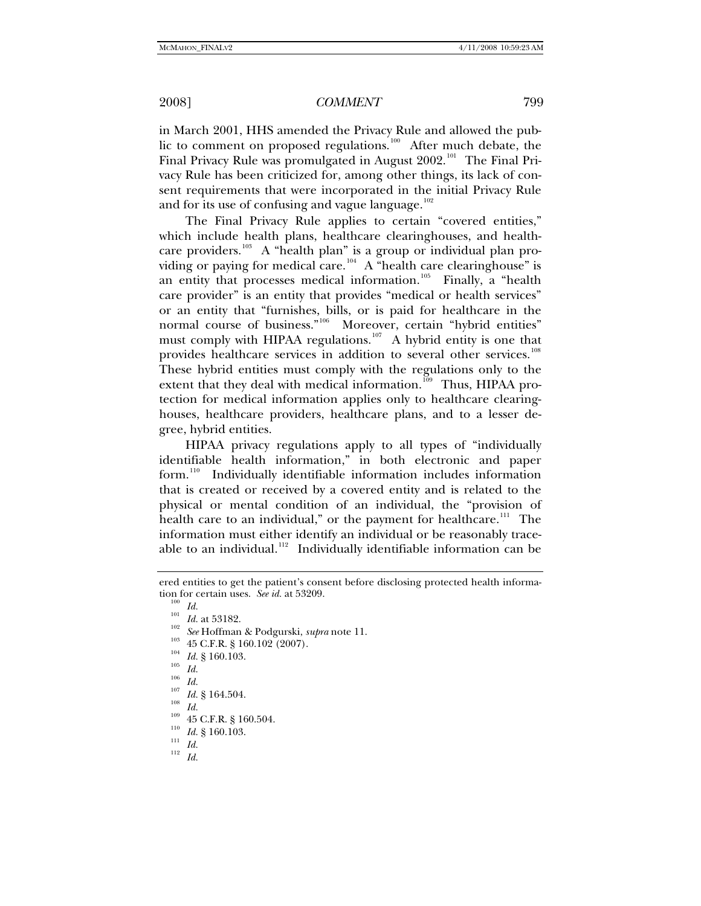in March 2001, HHS amended the Privacy Rule and allowed the pub-lic to comment on proposed regulations.<sup>[100](#page-12-0)</sup> After much debate, the Final Privacy Rule was promulgated in August  $2002$ <sup>[101](#page-12-1)</sup> The Final Privacy Rule has been criticized for, among other things, its lack of consent requirements that were incorporated in the initial Privacy Rule and for its use of confusing and vague language.<sup>[102](#page-12-2)</sup>

The Final Privacy Rule applies to certain "covered entities," which include health plans, healthcare clearinghouses, and health-care providers.<sup>[103](#page-12-3)</sup> A "health plan" is a group or individual plan pro-viding or paying for medical care.<sup>[104](#page-12-4)</sup> A "health care clearinghouse" is an entity that processes medical information.<sup>[105](#page-12-5)</sup> Finally, a "health" care provider" is an entity that provides "medical or health services" or an entity that "furnishes, bills, or is paid for healthcare in the normal course of business."<sup>[106](#page-12-6)</sup> Moreover, certain "hybrid entities" must comply with HIPAA regulations.<sup>[107](#page-12-7)</sup> A hybrid entity is one that provides healthcare services in addition to several other services.<sup>[108](#page-12-8)</sup> These hybrid entities must comply with the regulations only to the extent that they deal with medical information.<sup>[109](#page-12-9)</sup> Thus, HIPAA protection for medical information applies only to healthcare clearinghouses, healthcare providers, healthcare plans, and to a lesser degree, hybrid entities.

HIPAA privacy regulations apply to all types of "individually identifiable health information," in both electronic and paper form.<sup>[110](#page-12-10)</sup> Individually identifiable information includes information that is created or received by a covered entity and is related to the physical or mental condition of an individual, the "provision of health care to an individual," or the payment for healthcare.<sup>[111](#page-12-11)</sup> The information must either identify an individual or be reasonably trace-able to an individual.<sup>[112](#page-12-12)</sup> Individually identifiable information can be

<span id="page-12-3"></span><span id="page-12-2"></span><span id="page-12-1"></span><span id="page-12-0"></span>ered entities to get the patient's consent before disclosing protected health information for certain uses. *See id.* at 53209.<br>
<sup>100</sup> *Id.*<br>
<sup>101</sup> *Id.* at 53182.<br>
<sup>102</sup> *See* Hoffman & Podgurski, *supra* note 11.<br>
<sup>103</sup> 45 C.F.R. § 160.102 (2007).<br>
<sup>104</sup> *Id.* § 160.103.<br> *Id.*<br>
<sup>107</sup> *Id.* § 164.504.<br>

<span id="page-12-4"></span>

<span id="page-12-5"></span>

<span id="page-12-9"></span><span id="page-12-8"></span><span id="page-12-7"></span><span id="page-12-6"></span>

<span id="page-12-12"></span><span id="page-12-11"></span><span id="page-12-10"></span>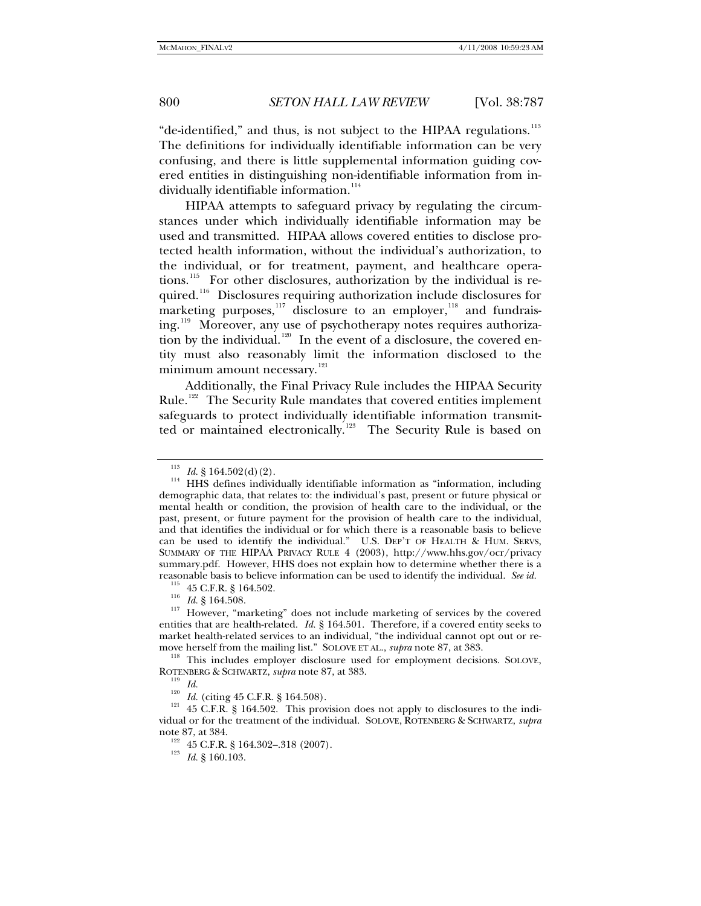"de-identified," and thus, is not subject to the HIPAA regulations.<sup>[113](#page-13-0)</sup> The definitions for individually identifiable information can be very confusing, and there is little supplemental information guiding covered entities in distinguishing non-identifiable information from in-dividually identifiable information.<sup>[114](#page-13-1)</sup>

HIPAA attempts to safeguard privacy by regulating the circumstances under which individually identifiable information may be used and transmitted. HIPAA allows covered entities to disclose protected health information, without the individual's authorization, to the individual, or for treatment, payment, and healthcare operations.[115](#page-13-2) For other disclosures, authorization by the individual is re-quired.<sup>[116](#page-13-3)</sup> Disclosures requiring authorization include disclosures for marketing purposes, $117$  disclosure to an employer, $118$  and fundrais-ing.<sup>[119](#page-13-6)</sup> Moreover, any use of psychotherapy notes requires authoriza-tion by the individual.<sup>[120](#page-13-7)</sup> In the event of a disclosure, the covered entity must also reasonably limit the information disclosed to the minimum amount necessary.<sup>[121](#page-13-8)</sup>

Additionally, the Final Privacy Rule includes the HIPAA Security Rule.<sup>[122](#page-13-9)</sup> The Security Rule mandates that covered entities implement safeguards to protect individually identifiable information transmit-ted or maintained electronically.<sup>[123](#page-13-10)</sup> The Security Rule is based on

<span id="page-13-1"></span><span id="page-13-0"></span><sup>&</sup>lt;sup>113</sup> *Id.* § 164.502(d)(2).  $\mu$ <sup>114</sup> HHS defines individually identifiable information as "information, including demographic data, that relates to: the individual's past, present or future physical or mental health or condition, the provision of health care to the individual, or the past, present, or future payment for the provision of health care to the individual, and that identifies the individual or for which there is a reasonable basis to believe can be used to identify the individual." U.S. DEP'T OF HEALTH & HUM. SERVS, SUMMARY OF THE HIPAA PRIVACY RULE 4 (2003), http://www.hhs.gov/ocr/privacy summary.pdf. However, HHS does not explain how to determine whether there is a reasonable basis to believe information can be used to identify the individual. *See id.* <sup>115</sup> 45 C.F.R. § 164.502. <sup>116</sup> *Id.* § 164.508. <sup>117</sup> However, "marketing" does not include marketing of services by the covered

<span id="page-13-4"></span><span id="page-13-3"></span><span id="page-13-2"></span>entities that are health-related. *Id.* § 164.501. Therefore, if a covered entity seeks to market health-related services to an individual, "the individual cannot opt out or re-

<span id="page-13-5"></span>move herself from the mailing list." SOLOVE ET AL., *supra* note 87, at 383.<br><sup>118</sup> This includes employer disclosure used for employment decisions. SOLOVE,<br>ROTENBERG & SCHWARTZ, *supra* note 87, at 383.

<span id="page-13-9"></span><span id="page-13-8"></span><span id="page-13-7"></span><span id="page-13-6"></span><sup>&</sup>lt;sup>119</sup> *Id.*  $I_{\text{20}}$  *Id.* (citing 45 C.F.R. § 164.508). <sup>121</sup> 45 C.F.R. § 164.502. This provision does not apply to disclosures to the individual or for the treatment of the individual. SOLOVE, ROTENBERG & SCHWARTZ, *supra* note 87, at 384.<br><sup>122</sup> 45 C.F.R. § 164.302–.318 (2007).<br><sup>123</sup> *Id.* § 160.103.

<span id="page-13-10"></span>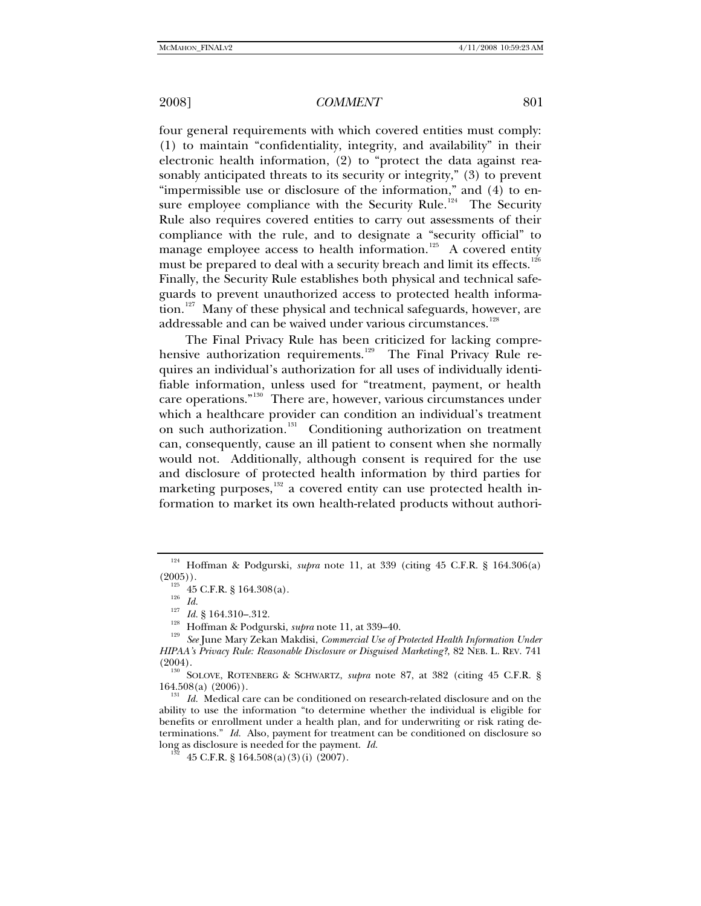four general requirements with which covered entities must comply: (1) to maintain "confidentiality, integrity, and availability" in their electronic health information, (2) to "protect the data against reasonably anticipated threats to its security or integrity," (3) to prevent "impermissible use or disclosure of the information," and (4) to en-sure employee compliance with the Security Rule.<sup>[124](#page-14-0)</sup> The Security Rule also requires covered entities to carry out assessments of their compliance with the rule, and to designate a "security official" to manage employee access to health information.<sup>[125](#page-14-1)</sup> A covered entity must be prepared to deal with a security breach and limit its effects.<sup>[126](#page-14-2)</sup> Finally, the Security Rule establishes both physical and technical safeguards to prevent unauthorized access to protected health informa-tion.<sup>[127](#page-14-3)</sup> Many of these physical and technical safeguards, however, are addressable and can be waived under various circumstances.<sup>[128](#page-14-4)</sup>

The Final Privacy Rule has been criticized for lacking compre-hensive authorization requirements.<sup>[129](#page-14-5)</sup> The Final Privacy Rule requires an individual's authorization for all uses of individually identifiable information, unless used for "treatment, payment, or health care operations."[130](#page-14-6) There are, however, various circumstances under which a healthcare provider can condition an individual's treatment on such authorization.[131](#page-14-7) Conditioning authorization on treatment can, consequently, cause an ill patient to consent when she normally would not. Additionally, although consent is required for the use and disclosure of protected health information by third parties for marketing purposes, $132$  a covered entity can use protected health information to market its own health-related products without authori-

<span id="page-14-0"></span><sup>&</sup>lt;sup>124</sup> Hoffman & Podgurski, *supra* note 11, at 339 (citing 45 C.F.R. § 164.306(a) (2005)).

<span id="page-14-4"></span><span id="page-14-3"></span><span id="page-14-2"></span><span id="page-14-1"></span><sup>&</sup>lt;sup>126</sup> 45 C.F.R. § 164.308(a).<br><sup>126</sup> *Id.*<br><sup>127</sup> *Id.* § 164.310–.312.<br><sup>128</sup> Hoffman & Podgurski, *supra* note 11, at 339–40.<br><sup>129</sup> *See* June Mary Zekan Makdisi, *Commercial Use of Protected Health Information Under HIPAA's Privacy Rule: Reasonable Disclosure or Disguised Marketing?*, 82 NEB. L. REV. 741

<span id="page-14-6"></span><span id="page-14-5"></span><sup>(2004).&</sup>lt;br><sup>130</sup> SOLOVE, ROTENBERG & SCHWARTZ, *supra* note 87, at 382 (citing 45 C.F.R. § 164.508(a) (2006)).

<span id="page-14-8"></span><span id="page-14-7"></span><sup>1536&</sup>lt;sub>(a)</sub> (2006)).<br><sup>131</sup> *Id.* Medical care can be conditioned on research-related disclosure and on the ability to use the information "to determine whether the individual is eligible for benefits or enrollment under a health plan, and for underwriting or risk rating determinations." *Id.* Also, payment for treatment can be conditioned on disclosure so long as disclosure is needed for the payment. *Id.* 132 45 C.F.R. § 164.508(a)(3)(i) (2007).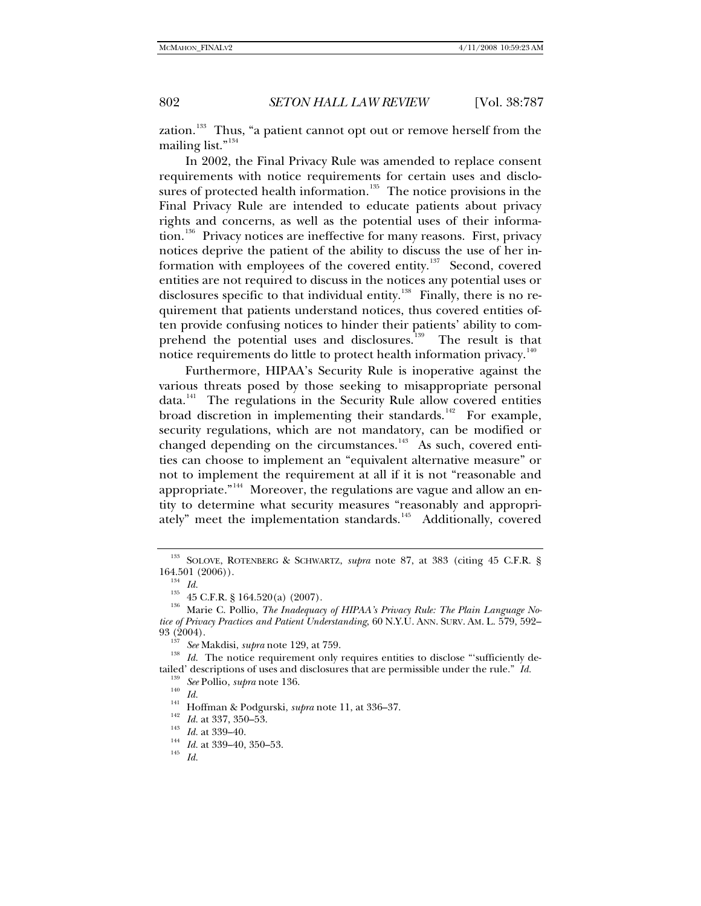zation.<sup>[133](#page-15-0)</sup> Thus, "a patient cannot opt out or remove herself from the mailing list."<sup>[134](#page-15-1)</sup>

In 2002, the Final Privacy Rule was amended to replace consent requirements with notice requirements for certain uses and disclo-sures of protected health information.<sup>[135](#page-15-2)</sup> The notice provisions in the Final Privacy Rule are intended to educate patients about privacy rights and concerns, as well as the potential uses of their informa-tion.<sup>[136](#page-15-3)</sup> Privacy notices are ineffective for many reasons. First, privacy notices deprive the patient of the ability to discuss the use of her in-formation with employees of the covered entity.<sup>[137](#page-15-4)</sup> Second, covered entities are not required to discuss in the notices any potential uses or disclosures specific to that individual entity.<sup>[138](#page-15-5)</sup> Finally, there is no requirement that patients understand notices, thus covered entities often provide confusing notices to hinder their patients' ability to com-prehend the potential uses and disclosures.<sup>[139](#page-15-6)</sup> The result is that notice requirements do little to protect health information privacy.<sup>[140](#page-15-7)</sup>

Furthermore, HIPAA's Security Rule is inoperative against the various threats posed by those seeking to misappropriate personal  $data.<sup>141</sup>$  $data.<sup>141</sup>$  $data.<sup>141</sup>$  The regulations in the Security Rule allow covered entities broad discretion in implementing their standards.<sup>[142](#page-15-9)</sup> For example, security regulations, which are not mandatory, can be modified or changed depending on the circumstances.<sup>[143](#page-15-10)</sup> As such, covered entities can choose to implement an "equivalent alternative measure" or not to implement the requirement at all if it is not "reasonable and appropriate."<sup>[144](#page-15-11)</sup> Moreover, the regulations are vague and allow an entity to determine what security measures "reasonably and appropri-ately" meet the implementation standards.<sup>[145](#page-15-12)</sup> Additionally, covered

<sup>&</sup>lt;sup>133</sup> SOLOVE, ROTENBERG & SCHWARTZ, *supra* note 87, at 383 (citing 45 C.F.R. §

<span id="page-15-2"></span><span id="page-15-1"></span><span id="page-15-0"></span><sup>164.501 (2006)).&</sup>lt;br><sup>134</sup> *Id.*<br><sup>135</sup> 45 C.F.R. § 164.520(a) (2007).<br><sup>136</sup> Marie C. Pollio, *The Inadequacy of HIPAA's Privacy Rule: The Plain Language Notice of Privacy Practices and Patient Understanding*, 60 N.Y.U. ANN. SURV. AM. L. 579, 592–

<span id="page-15-7"></span><span id="page-15-6"></span><span id="page-15-5"></span><span id="page-15-4"></span><span id="page-15-3"></span><sup>&</sup>lt;sup>137</sup> See Makdisi, *supra* note 129, at 759.<br><sup>138</sup> *Id.* The notice requirement only requires entities to disclose "'sufficiently detailed' descriptions of uses and disclosures that are permissible under the rule." Id.<br>
<sup>139</sup> See Pollio, *supra* note 136.<br>
<sup>140</sup> Id.<br>
<sup>141</sup> Hoffman & Podgurski, *supra* note 11, at 336–37.<br>
<sup>142</sup> Id. at 337, 350–53.<br>
<sup>1</sup>

<span id="page-15-8"></span>

<span id="page-15-9"></span>

<span id="page-15-10"></span>

<span id="page-15-12"></span><span id="page-15-11"></span>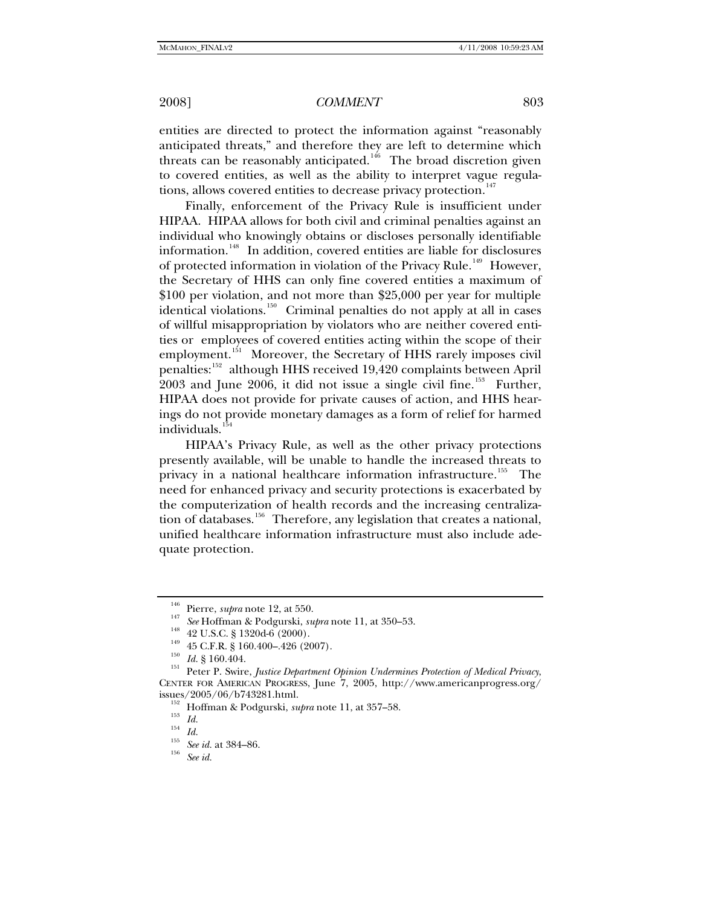entities are directed to protect the information against "reasonably anticipated threats," and therefore they are left to determine which threats can be reasonably anticipated.<sup>[146](#page-16-0)</sup> The broad discretion given to covered entities, as well as the ability to interpret vague regula-tions, allows covered entities to decrease privacy protection.<sup>[147](#page-16-1)</sup>

Finally, enforcement of the Privacy Rule is insufficient under HIPAA. HIPAA allows for both civil and criminal penalties against an individual who knowingly obtains or discloses personally identifiable information.[148](#page-16-2) In addition, covered entities are liable for disclosures of protected information in violation of the Privacy Rule.<sup>[149](#page-16-3)</sup> However, the Secretary of HHS can only fine covered entities a maximum of \$100 per violation, and not more than \$25,000 per year for multiple identical violations.<sup>[150](#page-16-4)</sup> Criminal penalties do not apply at all in cases of willful misappropriation by violators who are neither covered entities or employees of covered entities acting within the scope of their employment.<sup>[151](#page-16-5)</sup> Moreover, the Secretary of HHS rarely imposes civil penalties:<sup>[152](#page-16-6)</sup> although HHS received 19,420 complaints between April  $2003$  and June  $2006$ , it did not issue a single civil fine.<sup>[153](#page-16-7)</sup> Further, HIPAA does not provide for private causes of action, and HHS hearings do not provide monetary damages as a form of relief for harmed individuals.<sup>1</sup>

HIPAA's Privacy Rule, as well as the other privacy protections presently available, will be unable to handle the increased threats to privacy in a national healthcare information infrastructure.<sup>[155](#page-16-9)</sup> The need for enhanced privacy and security protections is exacerbated by the computerization of health records and the increasing centraliza-tion of databases.<sup>[156](#page-16-10)</sup> Therefore, any legislation that creates a national, unified healthcare information infrastructure must also include adequate protection.

<span id="page-16-5"></span><span id="page-16-4"></span><span id="page-16-3"></span><span id="page-16-2"></span><span id="page-16-1"></span><span id="page-16-0"></span><sup>&</sup>lt;sup>146</sup> Pierre, *supra* note 12, at 550.<br>
<sup>147</sup> See Hoffman & Podgurski, *supra* note 11, at 350–53.<br>
<sup>148</sup> 42 U.S.C. § 1320d-6 (2000).<br>
<sup>149</sup> 45 C.F.R. § 160.400–.426 (2007).<br>
<sup>150</sup> *Id.* § 160.404.<br>
Peter P. Swire, *Justi* CENTER FOR AMERICAN PROGRESS, June 7, 2005, [http://www.americanprogress.org/](http://www.americanprogress.org/issues/2005/06/b743281.html) 

<span id="page-16-8"></span><span id="page-16-7"></span><span id="page-16-6"></span><sup>&</sup>lt;sup>152</sup> Hoffman & Podgurski, *supra* note 11, at 357–58.<br>
<sup>153</sup> *Id.*<br>
<sup>154</sup> *Id.* See id. at 384–86. <sup>156</sup> See id. at 384–86.

<span id="page-16-10"></span><span id="page-16-9"></span>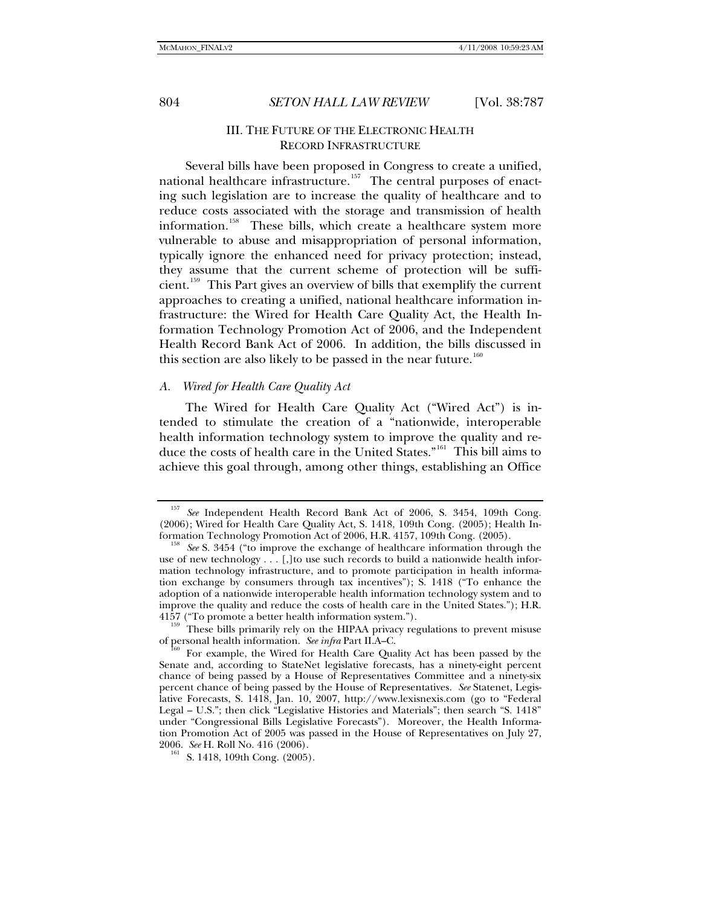## III. THE FUTURE OF THE ELECTRONIC HEALTH RECORD INFRASTRUCTURE

Several bills have been proposed in Congress to create a unified, national healthcare infrastructure.<sup>[157](#page-17-0)</sup> The central purposes of enacting such legislation are to increase the quality of healthcare and to reduce costs associated with the storage and transmission of health information.<sup>[158](#page-17-1)</sup> These bills, which create a healthcare system more vulnerable to abuse and misappropriation of personal information, typically ignore the enhanced need for privacy protection; instead, they assume that the current scheme of protection will be sufficient.[159](#page-17-2) This Part gives an overview of bills that exemplify the current approaches to creating a unified, national healthcare information infrastructure: the Wired for Health Care Quality Act, the Health Information Technology Promotion Act of 2006, and the Independent Health Record Bank Act of 2006. In addition, the bills discussed in this section are also likely to be passed in the near future.<sup>[160](#page-17-3)</sup>

### *A. Wired for Health Care Quality Act*

The Wired for Health Care Quality Act ("Wired Act") is intended to stimulate the creation of a "nationwide, interoperable health information technology system to improve the quality and reduce the costs of health care in the United States."[161](#page-17-4) This bill aims to achieve this goal through, among other things, establishing an Office

<span id="page-17-0"></span><sup>157</sup> *See* Independent Health Record Bank Act of 2006, S. 3454, 109th Cong. (2006); Wired for Health Care Quality Act, S. 1418, 109th Cong. (2005); Health In-

<span id="page-17-1"></span><sup>&</sup>lt;sup>158</sup> See S. 3454 ("to improve the exchange of healthcare information through the use of new technology . . . [,]to use such records to build a nationwide health information technology infrastructure, and to promote participation in health information exchange by consumers through tax incentives"); S. 1418 ("To enhance the adoption of a nationwide interoperable health information technology system and to improve the quality and reduce the costs of health care in the United States."); H.R.

<span id="page-17-2"></span><sup>4157 (&</sup>quot;To promote a better health information system.").<br><sup>159</sup> These bills primarily rely on the HIPAA privacy regulations to prevent misuse<br>of personal health information. *See infra* Part II.A–C.

<span id="page-17-3"></span>For example, the Wired for Health Care Quality Act has been passed by the Senate and, according to StateNet legislative forecasts, has a ninety-eight percent chance of being passed by a House of Representatives Committee and a ninety-six percent chance of being passed by the House of Representatives. *See* Statenet, Legislative Forecasts, S. 1418, Jan. 10, 2007, [http://www.lexisnexis.com](http://www.lexisnexis.com/) (go to "Federal Legal – U.S."; then click "Legislative Histories and Materials"; then search "S. 1418" under "Congressional Bills Legislative Forecasts"). Moreover, the Health Information Promotion Act of 2005 was passed in the House of Representatives on July 27, 2006. See H. Roll No. 416 (2006).

<span id="page-17-4"></span><sup>&</sup>lt;sup>161</sup> S. 1418, 109th Cong. (2005).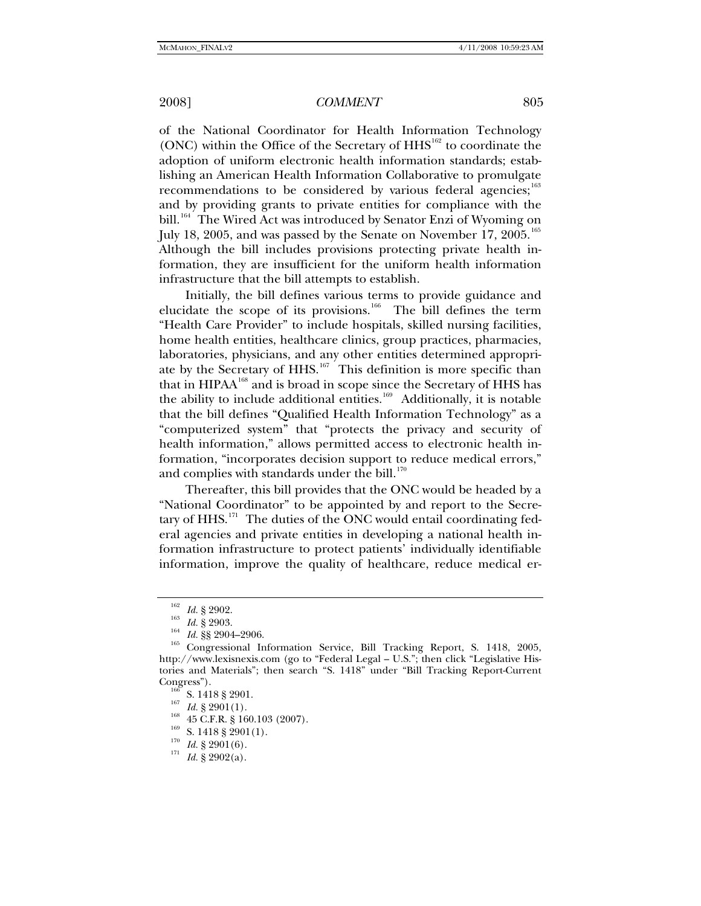of the National Coordinator for Health Information Technology (ONC) within the Office of the Secretary of  $HHS<sup>162</sup>$  $HHS<sup>162</sup>$  $HHS<sup>162</sup>$  to coordinate the adoption of uniform electronic health information standards; establishing an American Health Information Collaborative to promulgate recommendations to be considered by various federal agencies; $^{163}$  $^{163}$  $^{163}$ and by providing grants to private entities for compliance with the bill.<sup>[164](#page-18-2)</sup> The Wired Act was introduced by Senator Enzi of Wyoming on July 18, 2005, and was passed by the Senate on November 17, 2005.<sup>[165](#page-18-3)</sup> Although the bill includes provisions protecting private health information, they are insufficient for the uniform health information infrastructure that the bill attempts to establish.

Initially, the bill defines various terms to provide guidance and elucidate the scope of its provisions.<sup>[166](#page-18-4)</sup> The bill defines the term "Health Care Provider" to include hospitals, skilled nursing facilities, home health entities, healthcare clinics, group practices, pharmacies, laboratories, physicians, and any other entities determined appropri-ate by the Secretary of HHS.<sup>[167](#page-18-5)</sup> This definition is more specific than that in HIPAA<sup>[168](#page-18-6)</sup> and is broad in scope since the Secretary of HHS has the ability to include additional entities.<sup>[169](#page-18-7)</sup> Additionally, it is notable that the bill defines "Qualified Health Information Technology" as a "computerized system" that "protects the privacy and security of health information," allows permitted access to electronic health information, "incorporates decision support to reduce medical errors," and complies with standards under the bill. $170$ 

Thereafter, this bill provides that the ONC would be headed by a "National Coordinator" to be appointed by and report to the Secre-tary of HHS.<sup>[171](#page-18-9)</sup> The duties of the ONC would entail coordinating federal agencies and private entities in developing a national health information infrastructure to protect patients' individually identifiable information, improve the quality of healthcare, reduce medical er-

<span id="page-18-3"></span><span id="page-18-2"></span><span id="page-18-1"></span><span id="page-18-0"></span><sup>1&</sup>lt;sup>62</sup> Id. § 2902.<br><sup>163</sup> Id. § 2903.<br><sup>164</sup> Id. §§ 2904–2906.<br><sup>165</sup> Congressional Information Service, Bill Tracking Report, S. 1418, 2005, http://www.lexisnexis.com (go to "Federal Legal – U.S."; then click "Legislative Histories and Materials"; then search "S. 1418" under "Bill Tracking Report-Current Congress").<br>
<sup>166</sup> S. 1418 § 2901.<br>
<sup>167</sup> *Id.* § 2901(1).<br>
<sup>169</sup> S. 1418 § 2901(1).<br>
<sup>170</sup> *Id.* § 2901(6).<br>
<sup>171</sup> *Id.* § 2902(a).

<span id="page-18-5"></span><span id="page-18-4"></span>

<span id="page-18-6"></span>

<span id="page-18-9"></span><span id="page-18-8"></span><span id="page-18-7"></span>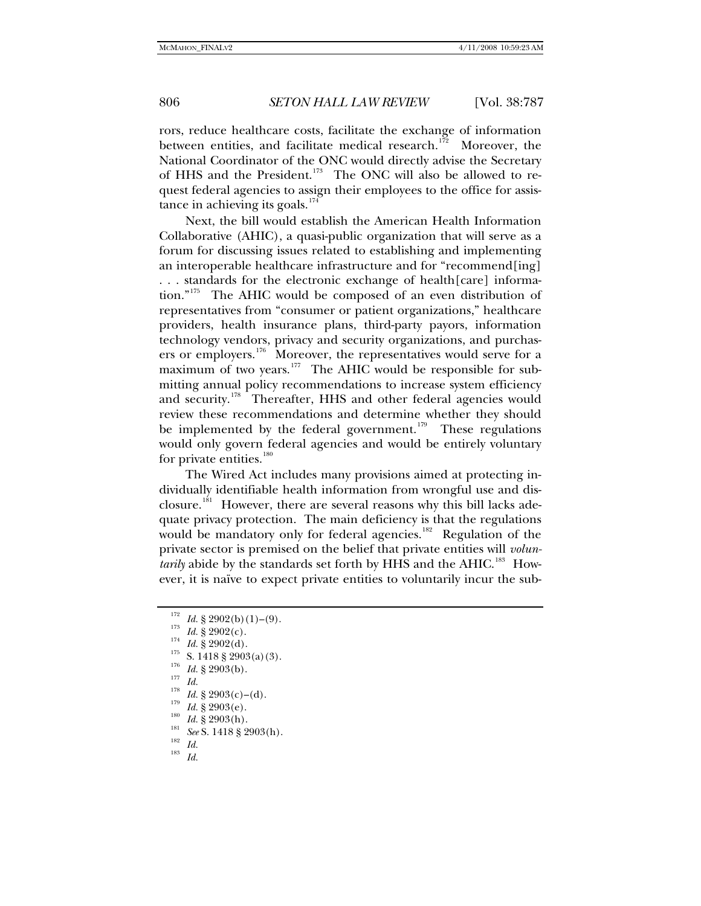rors, reduce healthcare costs, facilitate the exchange of information between entities, and facilitate medical research.<sup>[172](#page-19-0)</sup> Moreover, the National Coordinator of the ONC would directly advise the Secretary of HHS and the President.<sup>[173](#page-19-1)</sup> The ONC will also be allowed to request federal agencies to assign their employees to the office for assistance in achieving its goals. $174$ 

Next, the bill would establish the American Health Information Collaborative (AHIC), a quasi-public organization that will serve as a forum for discussing issues related to establishing and implementing an interoperable healthcare infrastructure and for "recommend[ing] . . . standards for the electronic exchange of health[care] information."[175](#page-19-3) The AHIC would be composed of an even distribution of representatives from "consumer or patient organizations," healthcare providers, health insurance plans, third-party payors, information technology vendors, privacy and security organizations, and purchas-ers or employers.<sup>[176](#page-19-4)</sup> Moreover, the representatives would serve for a maximum of two years.<sup>[177](#page-19-5)</sup> The AHIC would be responsible for submitting annual policy recommendations to increase system efficiency and security.<sup>[178](#page-19-6)</sup> Thereafter, HHS and other federal agencies would review these recommendations and determine whether they should be implemented by the federal government.<sup>[179](#page-19-7)</sup> These regulations would only govern federal agencies and would be entirely voluntary for private entities.<sup>[180](#page-19-8)</sup>

The Wired Act includes many provisions aimed at protecting individually identifiable health information from wrongful use and disclosure.[181](#page-19-9) However, there are several reasons why this bill lacks adequate privacy protection. The main deficiency is that the regulations would be mandatory only for federal agencies.<sup>[182](#page-19-10)</sup> Regulation of the private sector is premised on the belief that private entities will *voluntarily* abide by the standards set forth by HHS and the AHIC.<sup>[183](#page-19-11)</sup> However, it is naïve to expect private entities to voluntarily incur the sub-

<span id="page-19-2"></span><span id="page-19-1"></span><span id="page-19-0"></span>

<sup>&</sup>lt;sup>172</sup> Id. § 2902(b)(1)-(9).<br>
<sup>173</sup> Id. § 2902(c).<br>
<sup>174</sup> Id. § 2902(d).<br>
<sup>175</sup> S. 1418 § 2903(a)(3).<br>
<sup>175</sup> S. 1418 § 2903(a)(3).<br>
<sup>176</sup> Id. § 2903(b).<br>
<sup>179</sup> Id. § 2903(e)-(d).<br>
<sup>179</sup> Id. § 2903(e).<br>
Id. § 2903(h).<br>
<sup>189</sup>

<span id="page-19-5"></span><span id="page-19-4"></span><span id="page-19-3"></span>

<span id="page-19-7"></span><span id="page-19-6"></span>

<span id="page-19-11"></span><span id="page-19-10"></span><span id="page-19-9"></span><span id="page-19-8"></span>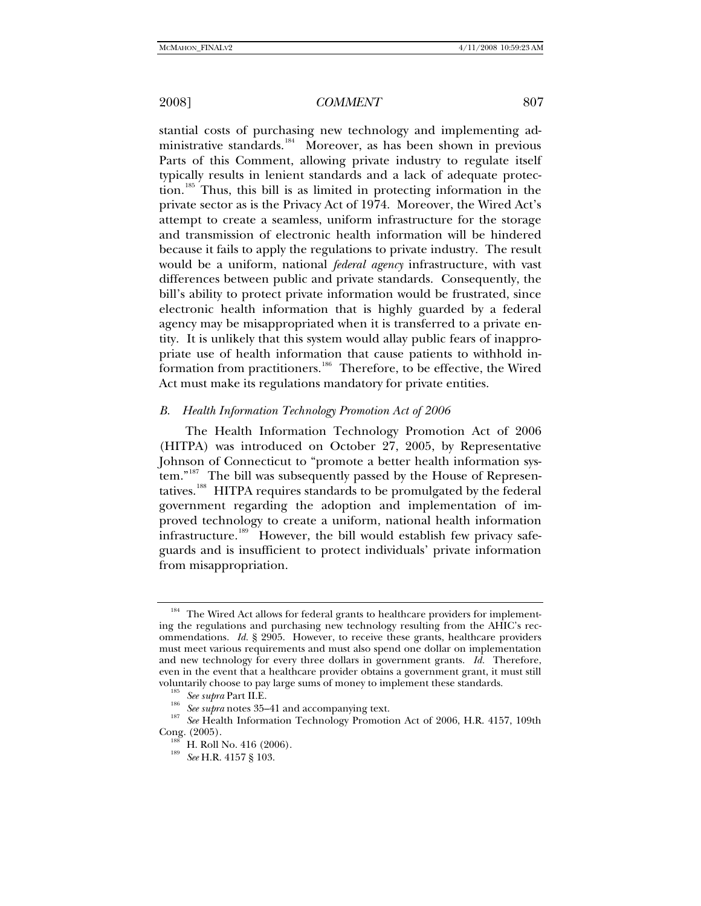stantial costs of purchasing new technology and implementing ad-ministrative standards.<sup>[184](#page-20-0)</sup> Moreover, as has been shown in previous Parts of this Comment, allowing private industry to regulate itself typically results in lenient standards and a lack of adequate protection.[185](#page-20-1) Thus, this bill is as limited in protecting information in the private sector as is the Privacy Act of 1974. Moreover, the Wired Act's attempt to create a seamless, uniform infrastructure for the storage and transmission of electronic health information will be hindered because it fails to apply the regulations to private industry. The result would be a uniform, national *federal agency* infrastructure, with vast differences between public and private standards. Consequently, the bill's ability to protect private information would be frustrated, since electronic health information that is highly guarded by a federal agency may be misappropriated when it is transferred to a private entity. It is unlikely that this system would allay public fears of inappropriate use of health information that cause patients to withhold information from practitioners.[186](#page-20-2) Therefore, to be effective, the Wired Act must make its regulations mandatory for private entities.

## *B. Health Information Technology Promotion Act of 2006*

The Health Information Technology Promotion Act of 2006 (HITPA) was introduced on October 27, 2005, by Representative Johnson of Connecticut to "promote a better health information sys-tem."<sup>[187](#page-20-3)</sup> The bill was subsequently passed by the House of Represen-tatives.<sup>[188](#page-20-4)</sup> HITPA requires standards to be promulgated by the federal government regarding the adoption and implementation of improved technology to create a uniform, national health information infrastructure.<sup>[189](#page-20-5)</sup> However, the bill would establish few privacy safeguards and is insufficient to protect individuals' private information from misappropriation.

<span id="page-20-0"></span><sup>&</sup>lt;sup>184</sup> The Wired Act allows for federal grants to healthcare providers for implementing the regulations and purchasing new technology resulting from the AHIC's recommendations. *Id.* § 2905. However, to receive these grants, healthcare providers must meet various requirements and must also spend one dollar on implementation and new technology for every three dollars in government grants. *Id.* Therefore, even in the event that a healthcare provider obtains a government grant, it must still voluntarily choose to pay large sums of money to implement these standards.

<span id="page-20-5"></span><span id="page-20-4"></span><span id="page-20-3"></span><span id="page-20-2"></span><span id="page-20-1"></span><sup>&</sup>lt;sup>186</sup> See supra Part II.E.<br><sup>186</sup> See supra notes 35–41 and accompanying text.<br><sup>187</sup> See Health Information Technology Promotion Act of 2006, H.R. 4157, 109th Cong. (2005). 188 H. Roll No. 416 (2006). 189 *See* H.R. 4157 § 103.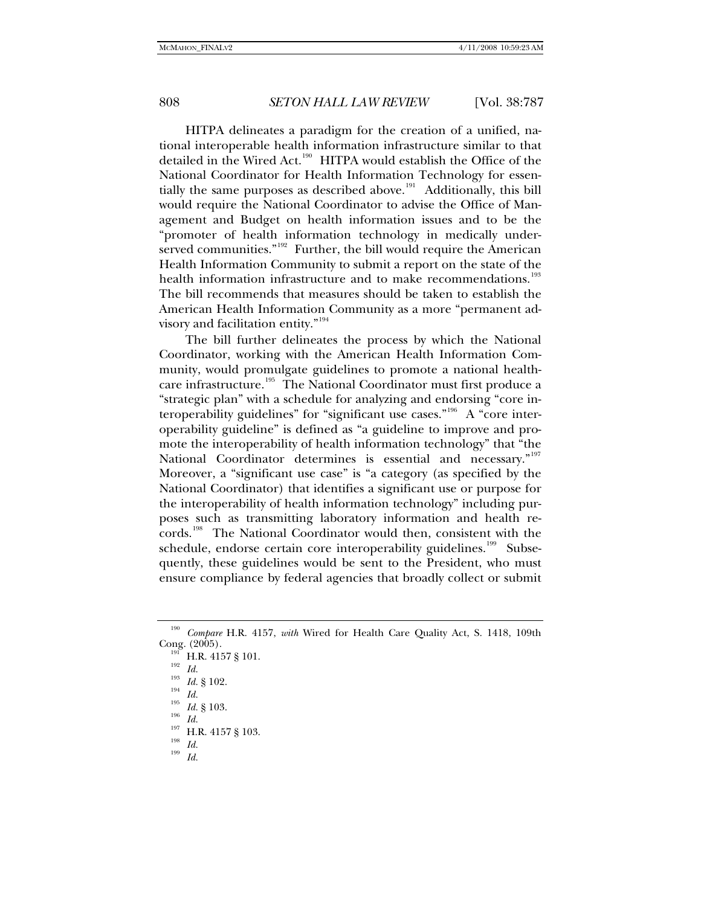HITPA delineates a paradigm for the creation of a unified, national interoperable health information infrastructure similar to that detailed in the Wired Act.<sup>[190](#page-21-0)</sup> HITPA would establish the Office of the National Coordinator for Health Information Technology for essen-tially the same purposes as described above.<sup>[191](#page-21-1)</sup> Additionally, this bill would require the National Coordinator to advise the Office of Management and Budget on health information issues and to be the "promoter of health information technology in medically under-served communities."<sup>[192](#page-21-2)</sup> Further, the bill would require the American Health Information Community to submit a report on the state of the health information infrastructure and to make recommendations.<sup>[193](#page-21-3)</sup> The bill recommends that measures should be taken to establish the American Health Information Community as a more "permanent ad-visory and facilitation entity."<sup>[194](#page-21-4)</sup>

The bill further delineates the process by which the National Coordinator, working with the American Health Information Community, would promulgate guidelines to promote a national health-care infrastructure.<sup>[195](#page-21-5)</sup> The National Coordinator must first produce a "strategic plan" with a schedule for analyzing and endorsing "core in-teroperability guidelines" for "significant use cases."<sup>[196](#page-21-6)</sup> A "core interoperability guideline" is defined as "a guideline to improve and promote the interoperability of health information technology" that "the National Coordinator determines is essential and necessary."<sup>[197](#page-21-7)</sup> Moreover, a "significant use case" is "a category (as specified by the National Coordinator) that identifies a significant use or purpose for the interoperability of health information technology" including purposes such as transmitting laboratory information and health records.[198](#page-21-8) The National Coordinator would then, consistent with the schedule, endorse certain core interoperability guidelines.<sup>[199](#page-21-9)</sup> Subsequently, these guidelines would be sent to the President, who must ensure compliance by federal agencies that broadly collect or submit

<sup>190</sup> *Compare* H.R. 4157, *with* Wired for Health Care Quality Act, S. 1418, 109th

<span id="page-21-4"></span><span id="page-21-3"></span><span id="page-21-2"></span><span id="page-21-1"></span><span id="page-21-0"></span>Cong. (2005).<br>
<sup>192</sup> H.R. 4157 § 101.<br>
<sup>192</sup> *Id.* 193 *Id.*<br>
<sup>195</sup> *Id.* § 103.<br>
<sup>197</sup> H.R. 4157 § 103.<br>
<sup>198</sup> *Id.* 199 *Id.* 

<span id="page-21-5"></span>

<span id="page-21-9"></span><span id="page-21-8"></span><span id="page-21-7"></span><span id="page-21-6"></span>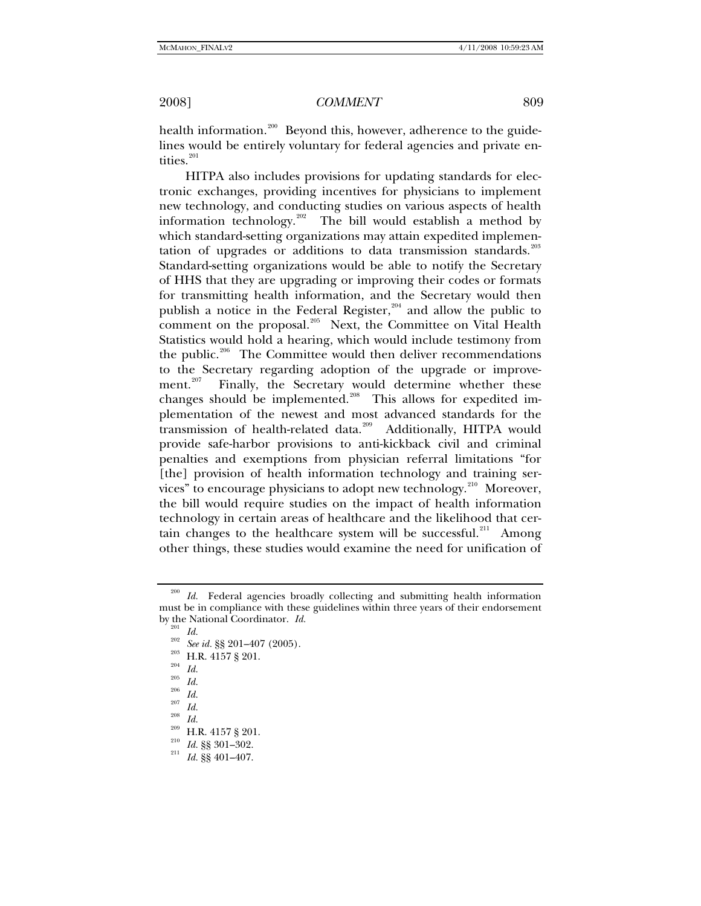health information.<sup>[200](#page-22-0)</sup> Beyond this, however, adherence to the guidelines would be entirely voluntary for federal agencies and private en-tities.<sup>[201](#page-22-1)</sup>

HITPA also includes provisions for updating standards for electronic exchanges, providing incentives for physicians to implement new technology, and conducting studies on various aspects of health information technology.[202](#page-22-2) The bill would establish a method by which standard-setting organizations may attain expedited implemen-tation of upgrades or additions to data transmission standards.<sup>[203](#page-22-3)</sup> Standard-setting organizations would be able to notify the Secretary of HHS that they are upgrading or improving their codes or formats for transmitting health information, and the Secretary would then publish a notice in the Federal Register, $204$  and allow the public to comment on the proposal.<sup>[205](#page-22-5)</sup> Next, the Committee on Vital Health Statistics would hold a hearing, which would include testimony from the public.<sup>[206](#page-22-6)</sup> The Committee would then deliver recommendations to the Secretary regarding adoption of the upgrade or improve-ment.<sup>[207](#page-22-7)</sup> Finally, the Secretary would determine whether these changes should be implemented.<sup>[208](#page-22-8)</sup> This allows for expedited implementation of the newest and most advanced standards for the transmission of health-related data.<sup>[209](#page-22-9)</sup> Additionally, HITPA would provide safe-harbor provisions to anti-kickback civil and criminal penalties and exemptions from physician referral limitations "for [the] provision of health information technology and training ser-vices" to encourage physicians to adopt new technology.<sup>[210](#page-22-10)</sup> Moreover, the bill would require studies on the impact of health information technology in certain areas of healthcare and the likelihood that cer-tain changes to the healthcare system will be successful.<sup>[211](#page-22-11)</sup> Among other things, these studies would examine the need for unification of

<span id="page-22-4"></span>

<span id="page-22-3"></span><span id="page-22-2"></span><span id="page-22-1"></span><span id="page-22-0"></span><sup>&</sup>lt;sup>200</sup> Id. Federal agencies broadly collecting and submitting health information must be in compliance with these guidelines within three years of their endorsement by the National Coordinator.  $Id$ . by the National Coordinator. Id.<br>
<sup>201</sup> Id.<br>
<sup>202</sup> See id. §§ 201–407 (2005).<br>
<sup>203</sup> H.R. 4157 § 201.<br>
<sup>204</sup> Id.<br>
<sup>205</sup> Id.<br>
<sup>205</sup> Id.<br>
Id.<br>
<sup>205</sup> Id.<br>
<sup>205</sup> Id.<br>
Id.<br>
<sup>207</sup> Id.<br>
<sup>206</sup> Id.<br>
Id.<br>
<sup>209</sup> H.R. 4157 § 201.<br>
<sup>2</sup>

<span id="page-22-7"></span><span id="page-22-6"></span><span id="page-22-5"></span>

<span id="page-22-9"></span><span id="page-22-8"></span>

<span id="page-22-11"></span><span id="page-22-10"></span>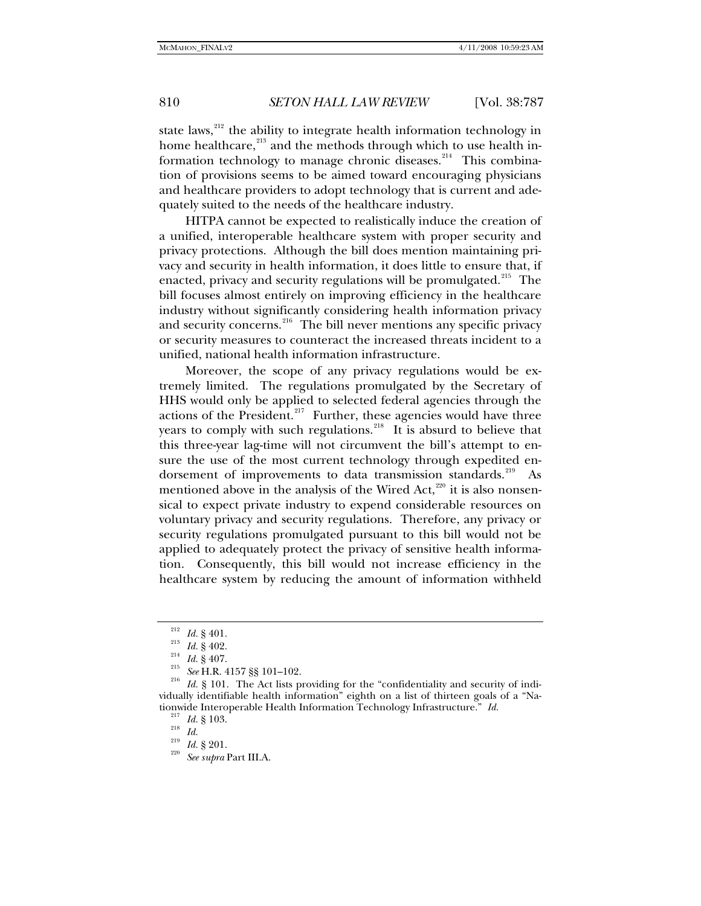state laws, $^{212}$  $^{212}$  $^{212}$  the ability to integrate health information technology in home healthcare,<sup>[213](#page-23-1)</sup> and the methods through which to use health in-formation technology to manage chronic diseases.<sup>[214](#page-23-2)</sup> This combination of provisions seems to be aimed toward encouraging physicians and healthcare providers to adopt technology that is current and adequately suited to the needs of the healthcare industry.

HITPA cannot be expected to realistically induce the creation of a unified, interoperable healthcare system with proper security and privacy protections. Although the bill does mention maintaining privacy and security in health information, it does little to ensure that, if enacted, privacy and security regulations will be promulgated.<sup>[215](#page-23-3)</sup> The bill focuses almost entirely on improving efficiency in the healthcare industry without significantly considering health information privacy and security concerns.<sup>[216](#page-23-4)</sup> The bill never mentions any specific privacy or security measures to counteract the increased threats incident to a unified, national health information infrastructure.

Moreover, the scope of any privacy regulations would be extremely limited. The regulations promulgated by the Secretary of HHS would only be applied to selected federal agencies through the actions of the President. $217$  Further, these agencies would have three years to comply with such regulations.<sup>[218](#page-23-6)</sup> It is absurd to believe that this three-year lag-time will not circumvent the bill's attempt to ensure the use of the most current technology through expedited en-dorsement of improvements to data transmission standards.<sup>[219](#page-23-7)</sup> mentioned above in the analysis of the Wired Act, $^{220}$  $^{220}$  $^{220}$  it is also nonsensical to expect private industry to expend considerable resources on voluntary privacy and security regulations. Therefore, any privacy or security regulations promulgated pursuant to this bill would not be applied to adequately protect the privacy of sensitive health information. Consequently, this bill would not increase efficiency in the healthcare system by reducing the amount of information withheld

<span id="page-23-6"></span><span id="page-23-5"></span>

<span id="page-23-8"></span><span id="page-23-7"></span>

<span id="page-23-4"></span><span id="page-23-3"></span><span id="page-23-2"></span><span id="page-23-1"></span><span id="page-23-0"></span><sup>&</sup>lt;sup>212</sup> *Id.* § 401.<br><sup>213</sup> *Id.* § 402.<br><sup>215</sup> *See* H.R. 4157 §§ 101–102.<br><sup>216</sup> *Id.* § 101. The Act lists providing for the "confidentiality and security of individually identifiable health information" eighth on a list of thirteen goals of a "Nationwide Interoperable Health Information Technology Infrastructure." *Id.*<br><sup>217</sup> *Id.* § 103.<br><sup>218</sup> *Id.* <sup>219</sup> *Id.* § 201.<br><sup>220</sup> *See supra* Part III.A.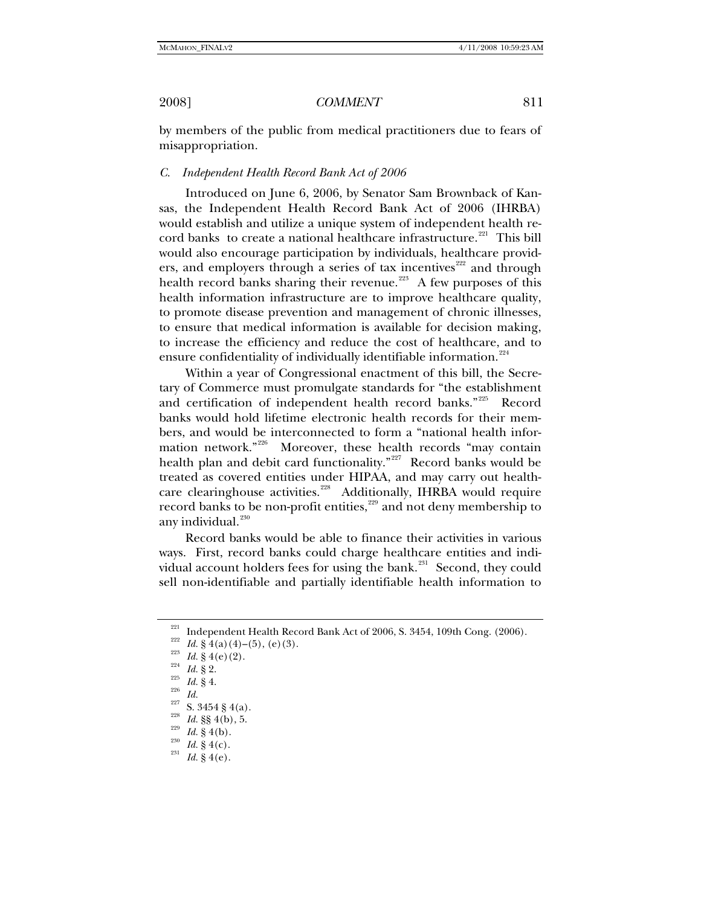by members of the public from medical practitioners due to fears of misappropriation.

### *C. Independent Health Record Bank Act of 2006*

Introduced on June 6, 2006, by Senator Sam Brownback of Kansas, the Independent Health Record Bank Act of 2006 (IHRBA) would establish and utilize a unique system of independent health re-cord banks to create a national healthcare infrastructure.<sup>[221](#page-24-0)</sup> This bill would also encourage participation by individuals, healthcare provid-ers, and employers through a series of tax incentives<sup>[222](#page-24-1)</sup> and through health record banks sharing their revenue.<sup>[223](#page-24-2)</sup> A few purposes of this health information infrastructure are to improve healthcare quality, to promote disease prevention and management of chronic illnesses, to ensure that medical information is available for decision making, to increase the efficiency and reduce the cost of healthcare, and to ensure confidentiality of individually identifiable information.<sup>[224](#page-24-3)</sup>

Within a year of Congressional enactment of this bill, the Secretary of Commerce must promulgate standards for "the establishment and certification of independent health record banks."<sup>[225](#page-24-4)</sup> Record banks would hold lifetime electronic health records for their members, and would be interconnected to form a "national health infor-mation network."<sup>[226](#page-24-5)</sup> Moreover, these health records "may contain health plan and debit card functionality."<sup>[227](#page-24-6)</sup> Record banks would be treated as covered entities under HIPAA, and may carry out health-care clearinghouse activities.<sup>[228](#page-24-7)</sup> Additionally, IHRBA would require record banks to be non-profit entities, $229$  and not deny membership to any individual.<sup>[230](#page-24-9)</sup>

Record banks would be able to finance their activities in various ways. First, record banks could charge healthcare entities and indi-vidual account holders fees for using the bank.<sup>[231](#page-24-10)</sup> Second, they could sell non-identifiable and partially identifiable health information to

<span id="page-24-0"></span><sup>&</sup>lt;sup>221</sup> Independent Health Record Bank Act of 2006, S. 3454, 109th Cong. (2006).<br>
<sup>222</sup> Id. § 4(a)(4)–(5), (e)(3).<br>
<sup>223</sup> Id. § 4(e)(2).<br>
<sup>224</sup> Id. § 2.<br>
Id. § 4.<br>
<sup>225</sup> Id. § 4.<br>
Id. § 4(a).<br>
<sup>225</sup> S. 3454 § 4(a).<br>
<sup>225</sup> S

<span id="page-24-1"></span>

<span id="page-24-2"></span>

<span id="page-24-5"></span><span id="page-24-4"></span><span id="page-24-3"></span>

<span id="page-24-7"></span><span id="page-24-6"></span>

<span id="page-24-10"></span><span id="page-24-9"></span><span id="page-24-8"></span>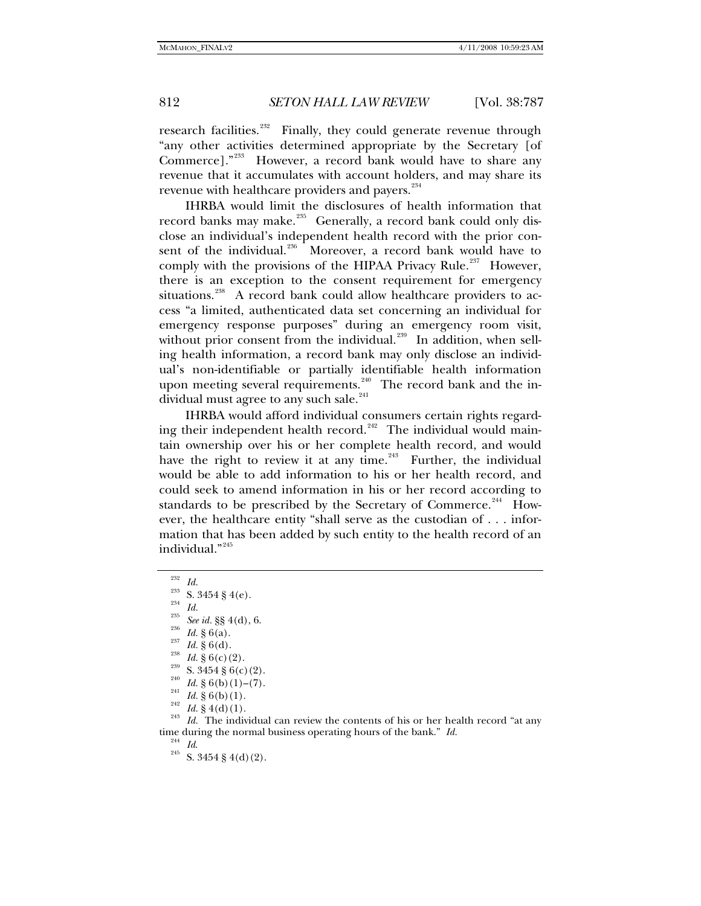research facilities.<sup>[232](#page-25-0)</sup> Finally, they could generate revenue through "any other activities determined appropriate by the Secretary [of Commerce]."<sup>[233](#page-25-1)</sup> However, a record bank would have to share any revenue that it accumulates with account holders, and may share its revenue with healthcare providers and payers.<sup>[234](#page-25-2)</sup>

IHRBA would limit the disclosures of health information that record banks may make.<sup>[235](#page-25-3)</sup> Generally, a record bank could only disclose an individual's independent health record with the prior con-sent of the individual.<sup>[236](#page-25-4)</sup> Moreover, a record bank would have to comply with the provisions of the HIPAA Privacy Rule.<sup>[237](#page-25-5)</sup> However, there is an exception to the consent requirement for emergency situations.<sup>[238](#page-25-6)</sup> A record bank could allow healthcare providers to access "a limited, authenticated data set concerning an individual for emergency response purposes" during an emergency room visit, without prior consent from the individual.<sup>[239](#page-25-7)</sup> In addition, when selling health information, a record bank may only disclose an individual's non-identifiable or partially identifiable health information upon meeting several requirements.<sup>[240](#page-25-8)</sup> The record bank and the in-dividual must agree to any such sale.<sup>[241](#page-25-9)</sup>

IHRBA would afford individual consumers certain rights regard-ing their independent health record.<sup>[242](#page-25-10)</sup> The individual would maintain ownership over his or her complete health record, and would have the right to review it at any time.<sup>[243](#page-25-11)</sup> Further, the individual would be able to add information to his or her health record, and could seek to amend information in his or her record according to standards to be prescribed by the Secretary of Commerce.<sup>[244](#page-25-12)</sup> However, the healthcare entity "shall serve as the custodian of . . . information that has been added by such entity to the health record of an individual."<sup>[245](#page-25-13)</sup>

<span id="page-25-13"></span><span id="page-25-12"></span>

<span id="page-25-6"></span><span id="page-25-5"></span>

<span id="page-25-8"></span><span id="page-25-7"></span>

<span id="page-25-10"></span><span id="page-25-9"></span>

<span id="page-25-11"></span>

<span id="page-25-4"></span><span id="page-25-3"></span><span id="page-25-2"></span><span id="page-25-1"></span><span id="page-25-0"></span><sup>&</sup>lt;sup>232</sup> Id.<br>
<sup>233</sup> S. 3454 § 4(e).<br>
<sup>234</sup> Id.<br>
<sup>235</sup> See id. §§ 4(d), 6.<br>
<sup>236</sup> Id. § 6(a).<br>
<sup>237</sup> Id. § 6(d).<br>
<sup>238</sup> Id. § 6(c) (2).<br>
<sup>239</sup> S. 3454 § 6(c) (2).<br>
<sup>240</sup> Id. § 6(b) (1)–(7).<br>
<sup>241</sup> Id. § 6(b) (1).<br>
<sup>242</sup> Id. § time during the normal business operating hours of the bank." *Id.* <sup>244</sup> *Id.* S. 3454 § 4(d)(2).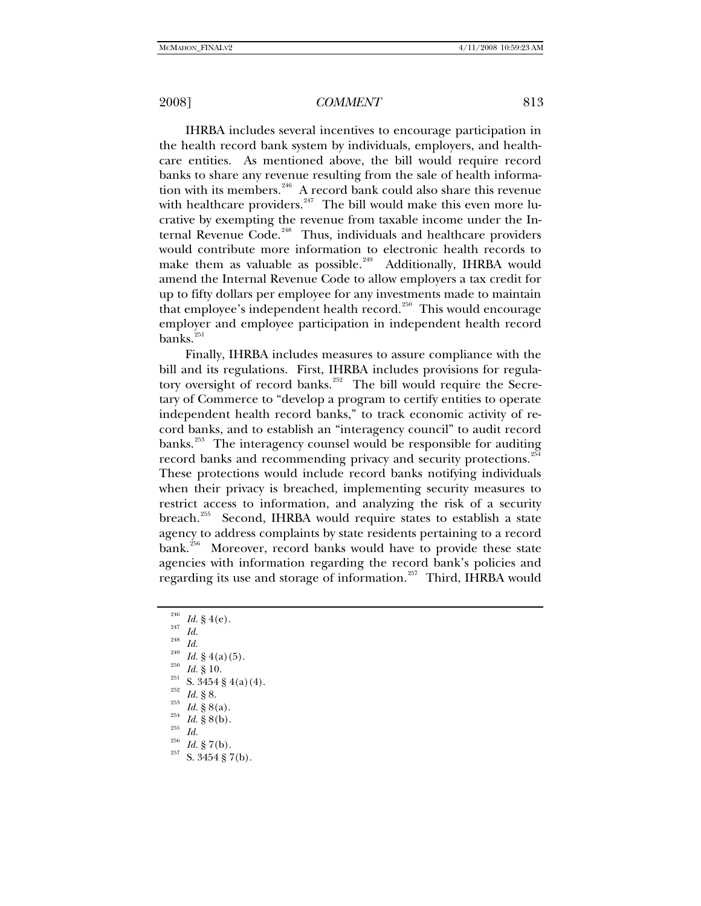IHRBA includes several incentives to encourage participation in the health record bank system by individuals, employers, and healthcare entities. As mentioned above, the bill would require record banks to share any revenue resulting from the sale of health informa-tion with its members.<sup>[246](#page-26-0)</sup> A record bank could also share this revenue with healthcare providers. $247$  The bill would make this even more lucrative by exempting the revenue from taxable income under the In-ternal Revenue Code.<sup>[248](#page-26-2)</sup> Thus, individuals and healthcare providers would contribute more information to electronic health records to make them as valuable as possible.<sup>[249](#page-26-3)</sup> Additionally, IHRBA would amend the Internal Revenue Code to allow employers a tax credit for up to fifty dollars per employee for any investments made to maintain that employee's independent health record.<sup>[250](#page-26-4)</sup> This would encourage employer and employee participation in independent health record banks.<sup>[251](#page-26-5)</sup>

Finally, IHRBA includes measures to assure compliance with the bill and its regulations. First, IHRBA includes provisions for regula-tory oversight of record banks.<sup>[252](#page-26-6)</sup> The bill would require the Secretary of Commerce to "develop a program to certify entities to operate independent health record banks," to track economic activity of record banks, and to establish an "interagency council" to audit record banks.<sup>[253](#page-26-7)</sup> The interagency counsel would be responsible for auditing record banks and recommending privacy and security protections.<sup>25</sup> These protections would include record banks notifying individuals when their privacy is breached, implementing security measures to restrict access to information, and analyzing the risk of a security breach.<sup>[255](#page-26-9)</sup> Second, IHRBA would require states to establish a state agency to address complaints by state residents pertaining to a record bank.<sup>[256](#page-26-10)</sup> Moreover, record banks would have to provide these state agencies with information regarding the record bank's policies and regarding its use and storage of information.<sup>[257](#page-26-11)</sup> Third, IHRBA would

- <span id="page-26-1"></span><span id="page-26-0"></span>
- <span id="page-26-3"></span><span id="page-26-2"></span>
- 
- 
- <span id="page-26-4"></span>
- <sup>246</sup> *Id.* § 4(e).<br>
<sup>247</sup> *Id.*<br>
<sup>248</sup> *Id.* § 4(a)(5).<br>
<sup>249</sup> *Id.* § 4(a)(5).<br>
<sup>250</sup> *Id.* § 10.<br>
<sup>251</sup> *Id.* § 8.<br>
<sup>252</sup> *Id.* § 8(a).<br>
<sup>254</sup> *Id.* § 8(b).<br> *Id.* § 8(b).<br> *Id.* § 7(b).<br> *S*. 3454 § 7(b).
- 
- <span id="page-26-7"></span><span id="page-26-6"></span><span id="page-26-5"></span>
- <span id="page-26-10"></span><span id="page-26-9"></span><span id="page-26-8"></span>
- 
- <span id="page-26-11"></span>
-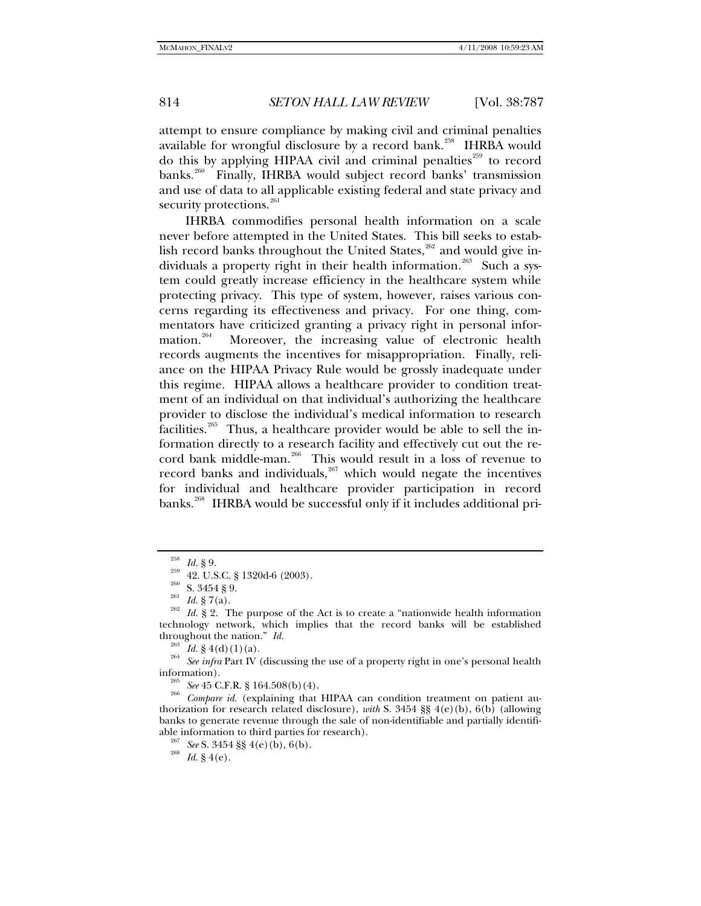attempt to ensure compliance by making civil and criminal penalties available for wrongful disclosure by a record bank.<sup>[258](#page-27-0)</sup> IHRBA would do this by applying HIPAA civil and criminal penalties $^{259}$  $^{259}$  $^{259}$  to record banks.<sup>[260](#page-27-2)</sup> Finally, IHRBA would subject record banks' transmission and use of data to all applicable existing federal and state privacy and security protections.<sup>[261](#page-27-3)</sup>

IHRBA commodifies personal health information on a scale never before attempted in the United States. This bill seeks to estab-lish record banks throughout the United States,<sup>[262](#page-27-4)</sup> and would give in-dividuals a property right in their health information.<sup>[263](#page-27-5)</sup> Such a system could greatly increase efficiency in the healthcare system while protecting privacy. This type of system, however, raises various concerns regarding its effectiveness and privacy. For one thing, commentators have criticized granting a privacy right in personal infor-mation.<sup>[264](#page-27-6)</sup> Moreover, the increasing value of electronic health records augments the incentives for misappropriation. Finally, reliance on the HIPAA Privacy Rule would be grossly inadequate under this regime. HIPAA allows a healthcare provider to condition treatment of an individual on that individual's authorizing the healthcare provider to disclose the individual's medical information to research facilities.<sup>[265](#page-27-7)</sup> Thus, a healthcare provider would be able to sell the information directly to a research facility and effectively cut out the re-cord bank middle-man.<sup>[266](#page-27-8)</sup> This would result in a loss of revenue to record banks and individuals, $267$  which would negate the incentives for individual and healthcare provider participation in record banks.<sup>[268](#page-27-10)</sup> IHRBA would be successful only if it includes additional pri-

<span id="page-27-2"></span><span id="page-27-1"></span><span id="page-27-0"></span><sup>&</sup>lt;sup>258</sup> *Id.* § 9.<br>
<sup>259</sup> 42. U.S.C. § 1320d-6 (2003).<br>
<sup>260</sup> S. 3454 § 9.<br>
<sup>261</sup> *Id.* § 7(a).<br>
<sup>262</sup> *Id.* § 2. The purpose of the Act is to create a "nationwide health information technology network, which implies that the record banks will be established

<span id="page-27-6"></span><span id="page-27-5"></span><span id="page-27-4"></span><span id="page-27-3"></span>throughout the nation." *Id.*<br><sup>263</sup> *Id.* § 4(d)(1)(a).<br><sup>264</sup> *See infra* Part IV (discussing the use of a property right in one's personal health information).

<span id="page-27-10"></span><span id="page-27-9"></span><span id="page-27-8"></span><span id="page-27-7"></span><sup>&</sup>lt;sup>265</sup> See 45 C.F.R. § 164.508(b)(4).<br><sup>266</sup> Compare *id.* (explaining that HIPAA can condition treatment on patient authorization for research related disclosure), *with* S. 3454 §§  $4(e)(b)$ ,  $6(b)$  (allowing banks to generate revenue through the sale of non-identifiable and partially identifiable information to third parties for research). 267 *See* S. 3454 §§ 4(e)(b), 6(b). 268 *Id.* § 4(e).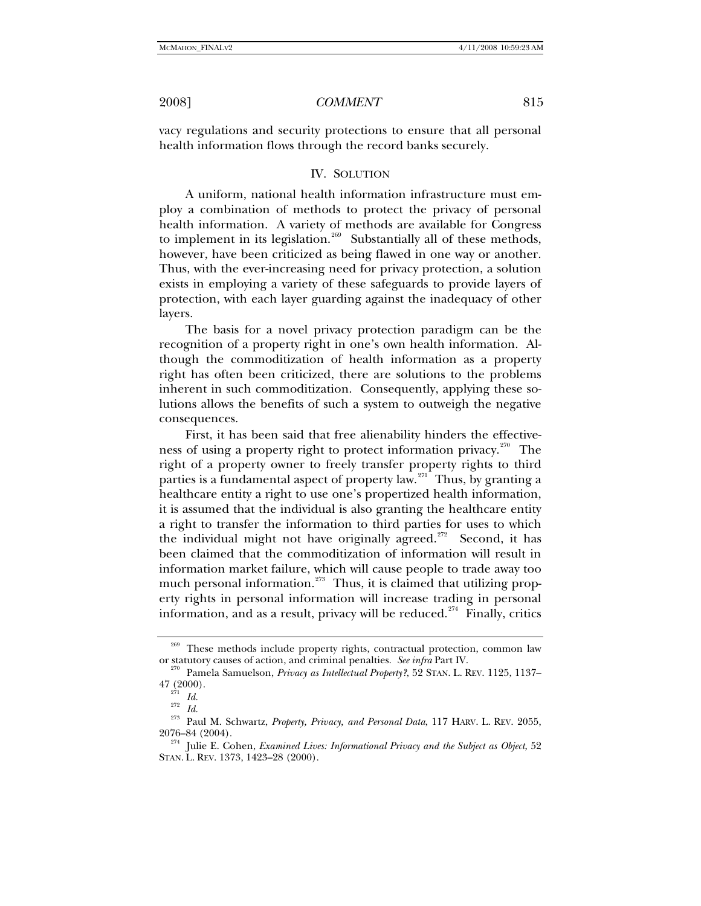vacy regulations and security protections to ensure that all personal health information flows through the record banks securely.

### IV. SOLUTION

A uniform, national health information infrastructure must employ a combination of methods to protect the privacy of personal health information. A variety of methods are available for Congress to implement in its legislation.<sup>[269](#page-28-0)</sup> Substantially all of these methods, however, have been criticized as being flawed in one way or another. Thus, with the ever-increasing need for privacy protection, a solution exists in employing a variety of these safeguards to provide layers of protection, with each layer guarding against the inadequacy of other layers.

The basis for a novel privacy protection paradigm can be the recognition of a property right in one's own health information. Although the commoditization of health information as a property right has often been criticized, there are solutions to the problems inherent in such commoditization. Consequently, applying these solutions allows the benefits of such a system to outweigh the negative consequences.

First, it has been said that free alienability hinders the effective-ness of using a property right to protect information privacy.<sup>[270](#page-28-1)</sup> The right of a property owner to freely transfer property rights to third parties is a fundamental aspect of property law.<sup>[271](#page-28-2)</sup> Thus, by granting a healthcare entity a right to use one's propertized health information, it is assumed that the individual is also granting the healthcare entity a right to transfer the information to third parties for uses to which the individual might not have originally agreed.<sup>[272](#page-28-3)</sup> Second, it has been claimed that the commoditization of information will result in information market failure, which will cause people to trade away too much personal information. $273$  Thus, it is claimed that utilizing property rights in personal information will increase trading in personal information, and as a result, privacy will be reduced.<sup>[274](#page-28-5)</sup> Finally, critics

These methods include property rights, contractual protection, common law

<span id="page-28-1"></span><span id="page-28-0"></span>or statutory causes of action, and criminal penalties. *See infra* Part IV.<br><sup>270</sup> Pamela Samuelson, *Privacy as Intellectual Property*?, 52 STAN. L. REV. 1125, 1137–<br><sup>271</sup> 271

<span id="page-28-4"></span><span id="page-28-3"></span><span id="page-28-2"></span><sup>47 (2000). 271</sup> *Id.* <sup>272</sup> *Id.* 273 Paul M. Schwartz, *Property, Privacy, and Personal Data*, 117 HARV. L. REV. 2055, 2076–84 (2004). 274 Julie E. Cohen, *Examined Lives: Informational Privacy and the Subject as Object*, 52

<span id="page-28-5"></span>STAN. L. REV. 1373, 1423–28 (2000).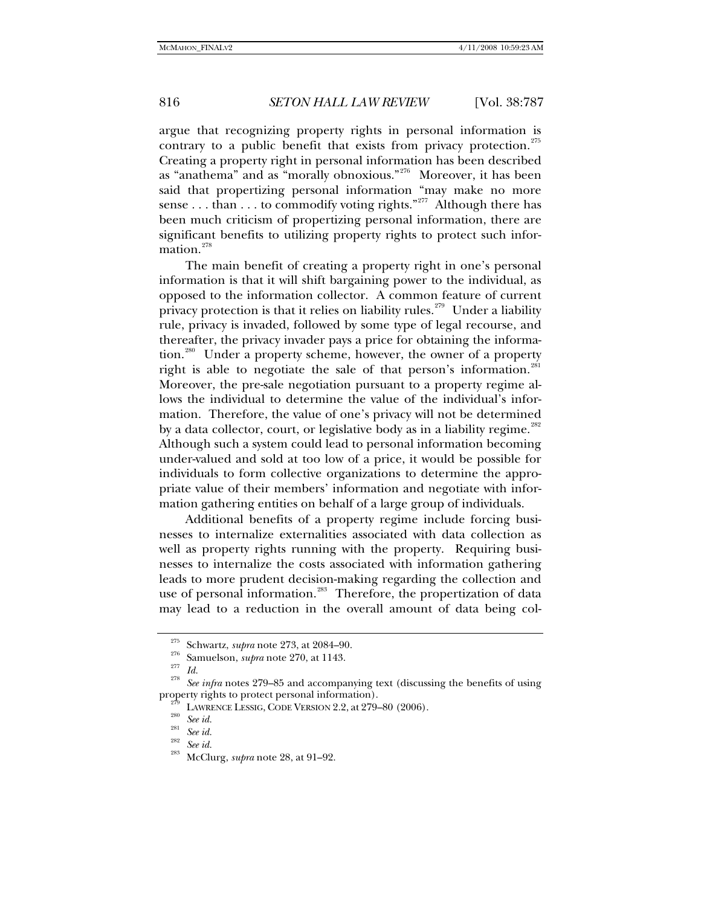argue that recognizing property rights in personal information is contrary to a public benefit that exists from privacy protection.<sup>[275](#page-29-0)</sup> Creating a property right in personal information has been described as "anathema" and as "morally obnoxious."[276](#page-29-1) Moreover, it has been said that propertizing personal information "may make no more sense . . . than . . . to commodify voting rights."<sup>[277](#page-29-2)</sup> Although there has been much criticism of propertizing personal information, there are significant benefits to utilizing property rights to protect such infor-mation.<sup>[278](#page-29-3)</sup>

The main benefit of creating a property right in one's personal information is that it will shift bargaining power to the individual, as opposed to the information collector. A common feature of current privacy protection is that it relies on liability rules.<sup>[279](#page-29-4)</sup> Under a liability rule, privacy is invaded, followed by some type of legal recourse, and thereafter, the privacy invader pays a price for obtaining the informa-tion.<sup>[280](#page-29-5)</sup> Under a property scheme, however, the owner of a property right is able to negotiate the sale of that person's information.<sup>[281](#page-29-6)</sup> Moreover, the pre-sale negotiation pursuant to a property regime allows the individual to determine the value of the individual's information. Therefore, the value of one's privacy will not be determined by a data collector, court, or legislative body as in a liability regime.<sup>[282](#page-29-7)</sup> Although such a system could lead to personal information becoming under-valued and sold at too low of a price, it would be possible for individuals to form collective organizations to determine the appropriate value of their members' information and negotiate with information gathering entities on behalf of a large group of individuals.

Additional benefits of a property regime include forcing businesses to internalize externalities associated with data collection as well as property rights running with the property. Requiring businesses to internalize the costs associated with information gathering leads to more prudent decision-making regarding the collection and use of personal information.<sup>[283](#page-29-8)</sup> Therefore, the propertization of data may lead to a reduction in the overall amount of data being col-

<span id="page-29-3"></span><span id="page-29-2"></span><span id="page-29-1"></span><span id="page-29-0"></span><sup>&</sup>lt;sup>275</sup> Schwartz, *supra* note 273, at 2084–90.<br><sup>276</sup> Samuelson, *supra* note 270, at 1143.<br><sup>278</sup> *Id.* <sup>28</sup> See infra notes 279–85 and accompanying text (discussing the benefits of using property rights to protect personal

<span id="page-29-6"></span><span id="page-29-5"></span><span id="page-29-4"></span><sup>&</sup>lt;sup>279</sup> LAWRENCE LESSIG, CODE VERSION 2.2, at 279–80 (2006).<br><sup>280</sup> See id. <br><sup>281</sup> See id. 28<sup>2</sup> See id. 283<sup>2</sup> McClurg, *supra* note 28, at 91–92.

<span id="page-29-8"></span><span id="page-29-7"></span>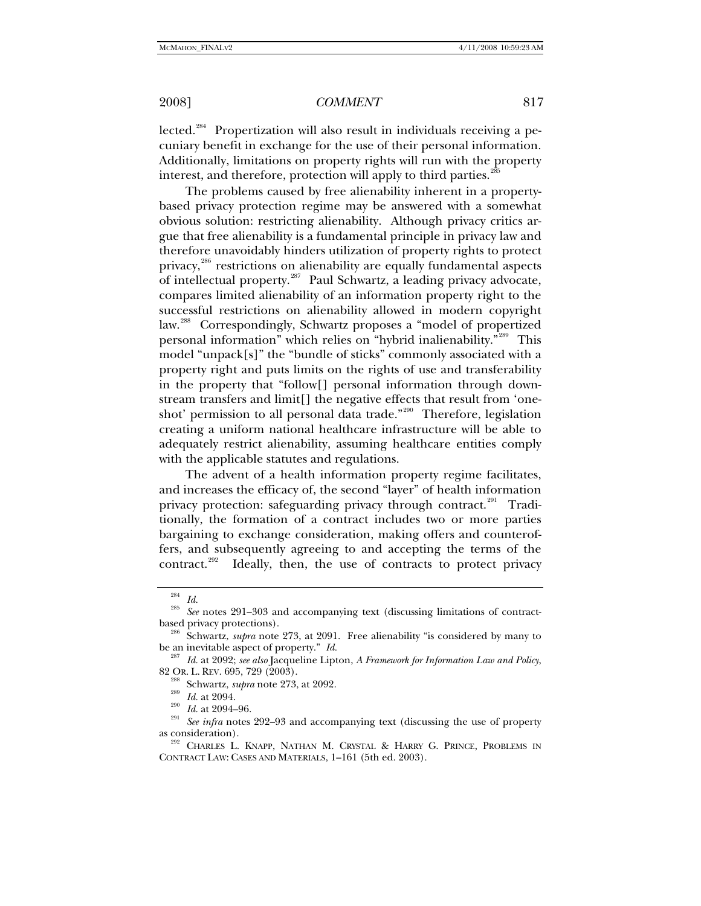lected.<sup>[284](#page-30-0)</sup> Propertization will also result in individuals receiving a pecuniary benefit in exchange for the use of their personal information. Additionally, limitations on property rights will run with the property interest, and therefore, protection will apply to third parties.<sup>2</sup>

The problems caused by free alienability inherent in a propertybased privacy protection regime may be answered with a somewhat obvious solution: restricting alienability. Although privacy critics argue that free alienability is a fundamental principle in privacy law and therefore unavoidably hinders utilization of property rights to protect privacy,<sup>[286](#page-30-2)</sup> restrictions on alienability are equally fundamental aspects of intellectual property.<sup>[287](#page-30-3)</sup> Paul Schwartz, a leading privacy advocate, compares limited alienability of an information property right to the successful restrictions on alienability allowed in modern copyright law.<sup>[288](#page-30-4)</sup> Correspondingly, Schwartz proposes a "model of propertized personal information" which relies on "hybrid inalienability."[289](#page-30-5) This model "unpack[s]" the "bundle of sticks" commonly associated with a property right and puts limits on the rights of use and transferability in the property that "follow[] personal information through downstream transfers and limit[] the negative effects that result from 'one-shot' permission to all personal data trade."<sup>[290](#page-30-6)</sup> Therefore, legislation creating a uniform national healthcare infrastructure will be able to adequately restrict alienability, assuming healthcare entities comply with the applicable statutes and regulations.

The advent of a health information property regime facilitates, and increases the efficacy of, the second "layer" of health information privacy protection: safeguarding privacy through contract.<sup>[291](#page-30-7)</sup> Traditionally, the formation of a contract includes two or more parties bargaining to exchange consideration, making offers and counteroffers, and subsequently agreeing to and accepting the terms of the contract.<sup>[292](#page-30-8)</sup> Ideally, then, the use of contracts to protect privacy

<span id="page-30-0"></span><sup>284</sup> *Id.* <sup>285</sup> *See* notes 291–303 and accompanying text (discussing limitations of contract-

<span id="page-30-2"></span><span id="page-30-1"></span>based privacy protections).<br><sup>286</sup> Schwartz, *supra* note 273, at 2091. Free alienability "is considered by many to

<span id="page-30-4"></span><span id="page-30-3"></span>be an inevitable aspect of property." *Id.* <sup>287</sup> *Id.* at 2092; *see also* Jacqueline Lipton, *A Framework for Information Law and Policy*, 82 OR. L. REV. 695, 729 (2003).<br><sup>288</sup> Schwartz, *supra* note 273, at 2092.<br><sup>290</sup> *Id.* at 2094–96.<br><sup>291</sup> *See infra* notes 292–93 and accompanying text (discussing the use of property

<span id="page-30-8"></span><span id="page-30-7"></span><span id="page-30-6"></span><span id="page-30-5"></span>as consideration).<br><sup>292</sup> Charles L. Knapp, Nathan M. Crystal & Harry G. Prince, Problems in CONTRACT LAW: CASES AND MATERIALS, 1–161 (5th ed. 2003).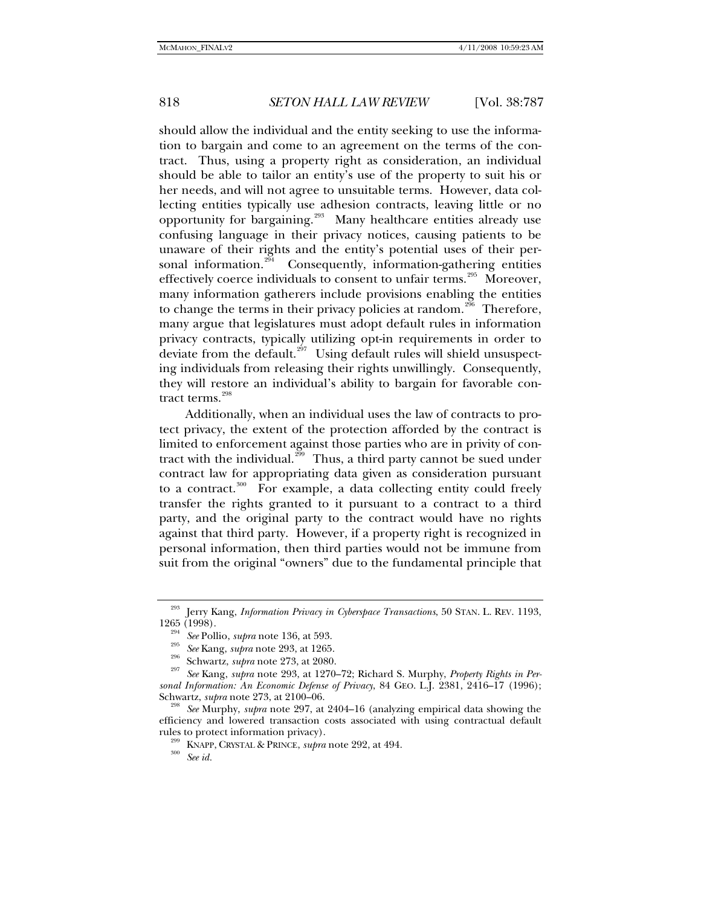should allow the individual and the entity seeking to use the information to bargain and come to an agreement on the terms of the contract. Thus, using a property right as consideration, an individual should be able to tailor an entity's use of the property to suit his or her needs, and will not agree to unsuitable terms. However, data collecting entities typically use adhesion contracts, leaving little or no opportunity for bargaining.<sup>[293](#page-31-0)</sup> Many healthcare entities already use confusing language in their privacy notices, causing patients to be unaware of their rights and the entity's potential uses of their per-sonal information.<sup>[294](#page-31-1)</sup> Consequently, information-gathering entities effectively coerce individuals to consent to unfair terms.<sup>[295](#page-31-2)</sup> Moreover, many information gatherers include provisions enabling the entities to change the terms in their privacy policies at random.<sup>[296](#page-31-3)</sup> Therefore, many argue that legislatures must adopt default rules in information privacy contracts, typically utilizing opt-in requirements in order to deviate from the default.<sup>[297](#page-31-4)</sup> Using default rules will shield unsuspecting individuals from releasing their rights unwillingly. Consequently, they will restore an individual's ability to bargain for favorable contract terms. $298$ 

Additionally, when an individual uses the law of contracts to protect privacy, the extent of the protection afforded by the contract is limited to enforcement against those parties who are in privity of contract with the individual. $^{299}$  $^{299}$  $^{299}$  Thus, a third party cannot be sued under contract law for appropriating data given as consideration pursuant to a contract. $300$  For example, a data collecting entity could freely transfer the rights granted to it pursuant to a contract to a third party, and the original party to the contract would have no rights against that third party. However, if a property right is recognized in personal information, then third parties would not be immune from suit from the original "owners" due to the fundamental principle that

<span id="page-31-1"></span><span id="page-31-0"></span><sup>293</sup> Jerry Kang, *Information Privacy in Cyberspace Transactions*, 50 STAN. L. REV. 1193, 1265 (1998).<br>
<sup>294</sup> See Pollio, *supra* note 136, at 593.<br>
<sup>295</sup> See Kang, *supra* note 293, at 1265.<br>
<sup>296</sup> Schwartz, *supra* note 273, at 2080.<br>
<sup>297</sup> See Kang, *supra* note 293, at 1270–72; Richard S. Murphy, *Property* 

<span id="page-31-4"></span><span id="page-31-3"></span><span id="page-31-2"></span>*sonal Information: An Economic Defense of Privacy*, 84 GEO. L.J. 2381, 2416–17 (1996);

<span id="page-31-7"></span><span id="page-31-6"></span><span id="page-31-5"></span>See Murphy, *supra* note 297, at 2404–16 (analyzing empirical data showing the efficiency and lowered transaction costs associated with using contractual default rules to protect information privacy). 299 KNAPP, CRYSTAL & PRINCE, *supra* note 292, at 494. 300 *See id.*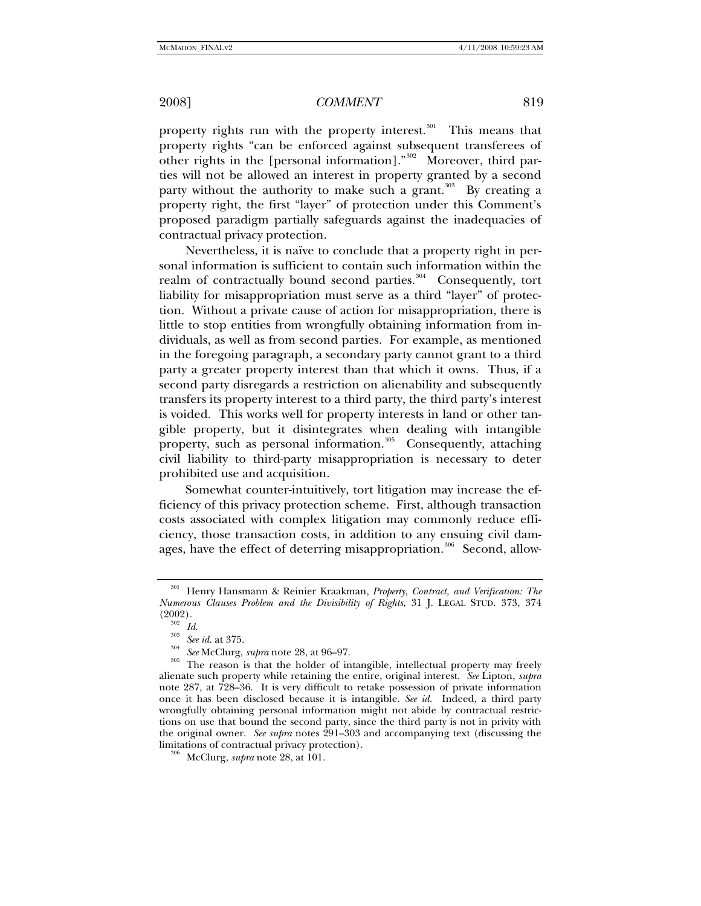property rights run with the property interest. $301$  This means that property rights "can be enforced against subsequent transferees of other rights in the [personal information]."<sup>[302](#page-32-1)</sup> Moreover, third parties will not be allowed an interest in property granted by a second party without the authority to make such a grant.<sup>[303](#page-32-2)</sup> By creating a property right, the first "layer" of protection under this Comment's proposed paradigm partially safeguards against the inadequacies of contractual privacy protection.

Nevertheless, it is naïve to conclude that a property right in personal information is sufficient to contain such information within the realm of contractually bound second parties.<sup>[304](#page-32-3)</sup> Consequently, tort liability for misappropriation must serve as a third "layer" of protection. Without a private cause of action for misappropriation, there is little to stop entities from wrongfully obtaining information from individuals, as well as from second parties. For example, as mentioned in the foregoing paragraph, a secondary party cannot grant to a third party a greater property interest than that which it owns. Thus, if a second party disregards a restriction on alienability and subsequently transfers its property interest to a third party, the third party's interest is voided. This works well for property interests in land or other tangible property, but it disintegrates when dealing with intangible property, such as personal information.<sup>[305](#page-32-4)</sup> Consequently, attaching civil liability to third-party misappropriation is necessary to deter prohibited use and acquisition.

Somewhat counter-intuitively, tort litigation may increase the efficiency of this privacy protection scheme. First, although transaction costs associated with complex litigation may commonly reduce efficiency, those transaction costs, in addition to any ensuing civil dam-ages, have the effect of deterring misappropriation.<sup>[306](#page-32-5)</sup> Second, allow-

<span id="page-32-0"></span><sup>301</sup> Henry Hansmann & Reinier Kraakman, *Property, Contract, and Verification: The Numerous Clauses Problem and the Divisibility of Rights*, 31 J. LEGAL STUD. 373, 374

<span id="page-32-4"></span><span id="page-32-3"></span><span id="page-32-2"></span><span id="page-32-1"></span><sup>(2002). 302</sup> *Id.* <sup>303</sup> *See id.* at 375. 304 *See* McClurg, *supra* note 28, at 96–97. 305 The reason is that the holder of intangible, intellectual property may freely alienate such property while retaining the entire, original interest. *See* Lipton, *supra*  note 287, at 728–36. It is very difficult to retake possession of private information once it has been disclosed because it is intangible. *See id.* Indeed, a third party wrongfully obtaining personal information might not abide by contractual restrictions on use that bound the second party, since the third party is not in privity with the original owner. *See supra* notes 291–303 and accompanying text (discussing the limitations of contractual privacy protection). 306 McClurg, *supra* note 28, at 101.

<span id="page-32-5"></span>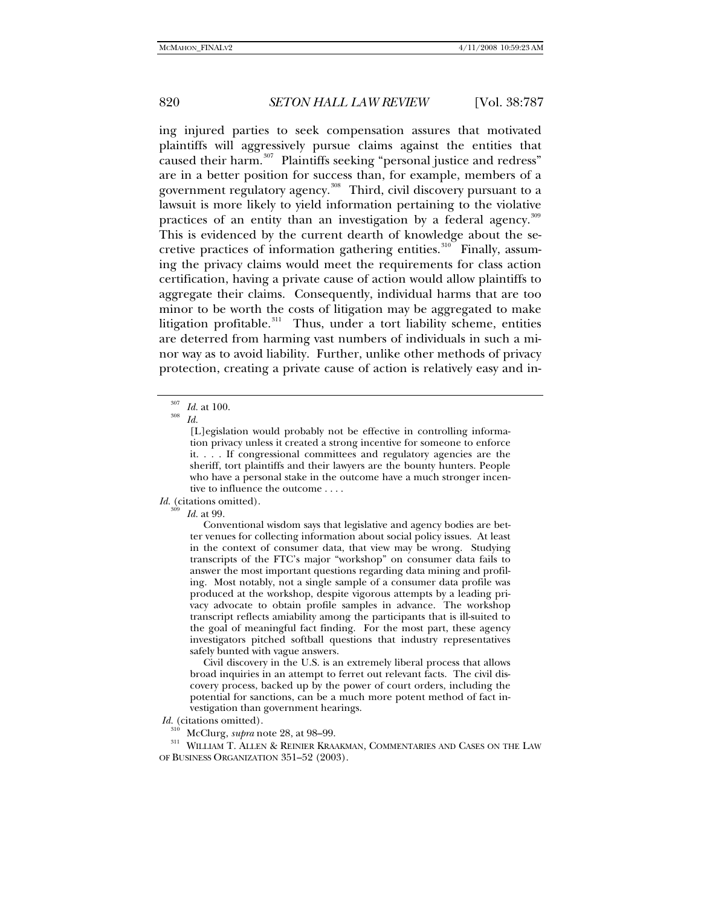ing injured parties to seek compensation assures that motivated plaintiffs will aggressively pursue claims against the entities that caused their harm.<sup>[307](#page-33-0)</sup> Plaintiffs seeking "personal justice and redress" are in a better position for success than, for example, members of a government regulatory agency.<sup>[308](#page-33-1)</sup> Third, civil discovery pursuant to a lawsuit is more likely to yield information pertaining to the violative practices of an entity than an investigation by a federal agency.<sup>[309](#page-33-2)</sup> This is evidenced by the current dearth of knowledge about the se-cretive practices of information gathering entities.<sup>[310](#page-33-3)</sup> Finally, assuming the privacy claims would meet the requirements for class action certification, having a private cause of action would allow plaintiffs to aggregate their claims. Consequently, individual harms that are too minor to be worth the costs of litigation may be aggregated to make litigation profitable. $311$  Thus, under a tort liability scheme, entities are deterred from harming vast numbers of individuals in such a minor way as to avoid liability. Further, unlike other methods of privacy protection, creating a private cause of action is relatively easy and in-

[L]egislation would probably not be effective in controlling information privacy unless it created a strong incentive for someone to enforce it. . . . If congressional committees and regulatory agencies are the sheriff, tort plaintiffs and their lawyers are the bounty hunters. People who have a personal stake in the outcome have a much stronger incentive to influence the outcome . . . .

### <span id="page-33-2"></span>*Id.* (citations omitted).

*Id.* at 99.

 Conventional wisdom says that legislative and agency bodies are better venues for collecting information about social policy issues. At least in the context of consumer data, that view may be wrong. Studying transcripts of the FTC's major "workshop" on consumer data fails to answer the most important questions regarding data mining and profiling. Most notably, not a single sample of a consumer data profile was produced at the workshop, despite vigorous attempts by a leading privacy advocate to obtain profile samples in advance. The workshop transcript reflects amiability among the participants that is ill-suited to the goal of meaningful fact finding. For the most part, these agency investigators pitched softball questions that industry representatives safely bunted with vague answers.

 Civil discovery in the U.S. is an extremely liberal process that allows broad inquiries in an attempt to ferret out relevant facts. The civil discovery process, backed up by the power of court orders, including the potential for sanctions, can be a much more potent method of fact investigation than government hearings.

 *Id.* (citations omitted).

<span id="page-33-4"></span><span id="page-33-3"></span><sup>310</sup> McClurg, *supra* note 28, at 98–99.<br><sup>311</sup> WILLIAM T. ALLEN & REINIER KRAAKMAN, COMMENTARIES AND CASES ON THE LAW OF BUSINESS ORGANIZATION 351–52 (2003).

<span id="page-33-1"></span><span id="page-33-0"></span><sup>307</sup> *Id.* at 100. 308 *Id.*